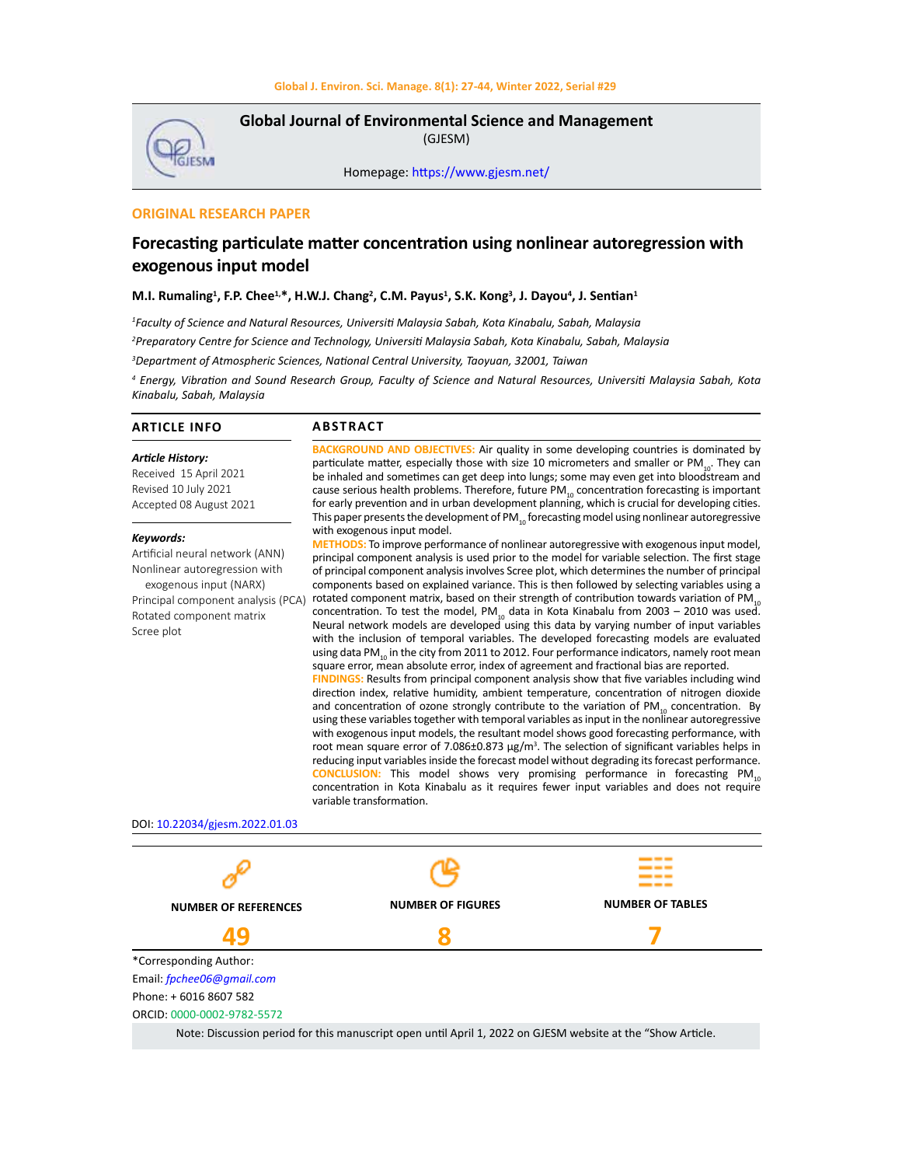

**Global Journal of Environmental Science and Management**  (GJESM)

Homepage: [https://www.gjesm.net/](https://www.gjesm.net/ )

## **ORIGINAL RESEARCH PAPER**

# **Forecasting particulate matter concentration using nonlinear autoregression with exogenous input model**

#### **M.I. Rumaling1 , F.P. Chee1,\*, H.W.J. Chang<sup>2</sup> , C.M. Payus1 , S.K. Kong3 , J. Dayou4 , J. Sentian<sup>1</sup>**

*1 Faculty of Science and Natural Resources, Universiti Malaysia Sabah, Kota Kinabalu, Sabah, Malaysia 2 Preparatory Centre for Science and Technology, Universiti Malaysia Sabah, Kota Kinabalu, Sabah, Malaysia*

*3 Department of Atmospheric Sciences, National Central University, Taoyuan, 32001, Taiwan*

*4 Energy, Vibration and Sound Research Group, Faculty of Science and Natural Resources, Universiti Malaysia Sabah, Kota Kinabalu, Sabah, Malaysia*

#### **ARTICLE INFO**

## **ABSTRACT**

*Article History:* Received 15 April 2021 Revised 10 July 2021 Accepted 08 August 2021

#### *Keywords:*

Artificial neural network (ANN) Nonlinear autoregression with exogenous input (NARX) Principal component analysis (PCA) Rotated component matrix Scree plot

**BACKGROUND AND OBJECTIVES:** Air quality in some developing countries is dominated by particulate matter, especially those with size 10 micrometers and smaller or PM<sub>10</sub>. They can be inhaled and sometimes can get deep into lungs; some may even get into bloodstream and cause serious health problems. Therefore, future PM $_{10}$  concentration forecasting is important for early prevention and in urban development planning, which is crucial for developing cities. This paper presents the development of PM $_{10}$  forecasting model using nonlinear autoregressive with exogenous input model. **METHODS:** To improve performance of nonlinear autoregressive with exogenous input model,

principal component analysis is used prior to the model for variable selection. The first stage of principal component analysis involves Scree plot, which determines the number of principal components based on explained variance. This is then followed by selecting variables using a rotated component matrix, based on their strength of contribution towards variation of  $PM_{10}$ concentration. To test the model, PM<sub>10</sub> data in Kota Kinabalu from 2003 – 2010 was used. Neural network models are developed using this data by varying number of input variables with the inclusion of temporal variables. The developed forecasting models are evaluated using data PM<sub>10</sub> in the city from 2011 to 2012. Four performance indicators, namely root mean square error, mean absolute error, index of agreement and fractional bias are reported.

**FINDINGS:** Results from principal component analysis show that five variables including wind direction index, relative humidity, ambient temperature, concentration of nitrogen dioxide and concentration of ozone strongly contribute to the variation of  $PM_{10}$  concentration. By using these variables together with temporal variables as input in the nonlinear autoregressive with exogenous input models, the resultant model shows good forecasting performance, with root mean square error of 7.086 $\pm$ 0.873  $\mu$ g/m<sup>3</sup>. The selection of significant variables helps in reducing input variables inside the forecast model without degrading its forecast performance. **CONCLUSION:** This model shows very promising performance in forecasting PM<sub>10</sub> concentration in Kota Kinabalu as it requires fewer input variables and does not require variable transformation.

#### DOI: 10.22034/gjesm.2022.01.03

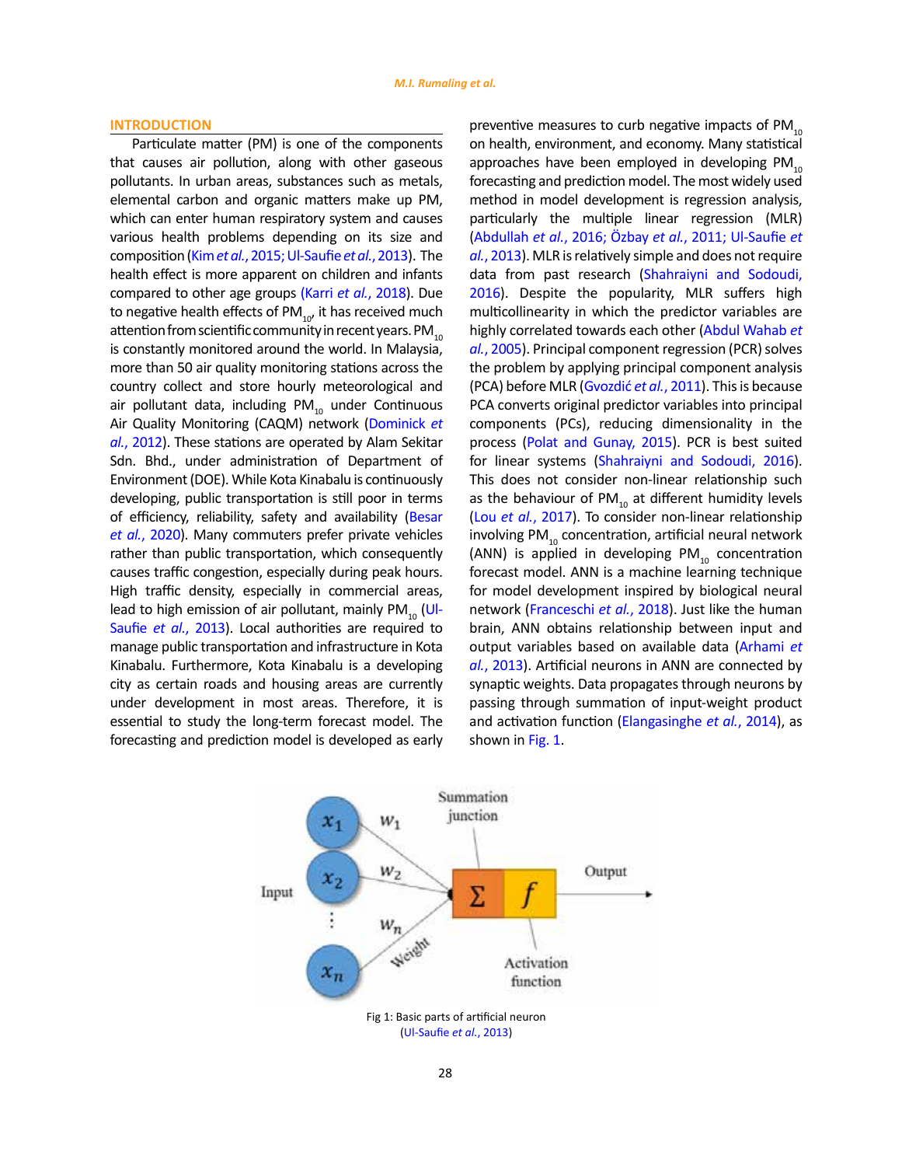#### **INTRODUCTION**

Particulate matter (PM) is one of the components that causes air pollution, along with other gaseous pollutants. In urban areas, substances such as metals, elemental carbon and organic matters make up PM, which can enter human respiratory system and causes various health problems depending on its size and composition (Kim *et al.*[, 2015; Ul-Saufie](#page-16-0) *et al.*, 2013). The health effect is more apparent on children and infants compared to other age groups (Karri *et al.*[, 2018\)](#page-16-0). Due to negative health effects of PM $_{10'}$  it has received much attention from scientific community in recent years. PM $_{10}$ is constantly monitored around the world. In Malaysia, more than 50 air quality monitoring stations across the country collect and store hourly meteorological and air pollutant data, including PM $_{10}$  under Continuous Air Quality Monitoring (CAQM) network ([Dominick](#page-16-0) *et al.*[, 2012\)](#page-16-0). These stations are operated by Alam Sekitar Sdn. Bhd., under administration of Department of Environment (DOE). While Kota Kinabalu is continuously developing, public transportation is still poor in terms of efficiency, reliability, safety and availability ([Besar](#page-16-0)  *et al.*[, 2020](#page-16-0)). Many commuters prefer private vehicles rather than public transportation, which consequently causes traffic congestion, especially during peak hours. High traffic density, especially in commercial areas, lead to high emission of air pollutant, mainly  $PM_{10}$  ([Ul-](#page-16-0)Saufie *et al.*[, 2013\)](#page-16-0). Local authorities are required to manage public transportation and infrastructure in Kota Kinabalu. Furthermore, Kota Kinabalu is a developing city as certain roads and housing areas are currently under development in most areas. Therefore, it is essential to study the long-term forecast model. The forecasting and prediction model is developed as early preventive measures to curb negative impacts of  $PM_{10}$ on health, environment, and economy. Many statistical approaches have been employed in developing  $PM_{10}$ forecasting and prediction model. The most widely used method in model development is regression analysis, particularly the multiple linear regression (MLR) (Abdullah *et al.*, 2016; Özbay *et al.*[, 2011; Ul-Saufie](#page-16-0) *et al.*[, 2013\)](#page-16-0). MLR is relatively simple and does not require data from past research [\(Shahraiyni and Sodoudi,](#page-16-0) [2016](#page-16-0)). Despite the popularity, MLR suffers high multicollinearity in which the predictor variables are highly correlated towards each othe[r \(Abdul Wahab](#page-16-0) *et al.*[, 2005\)](#page-16-0). Principal component regression (PCR) solves the problem by applying principal component analysis (PCA) before MLR [\(Gvozdić](#page-16-0) *et al.*, 2011). This is because PCA converts original predictor variables into principal components (PCs), reducing dimensionality in the process ([Polat and Gunay, 2015\).](#page-16-0) PCR is best suited for linear systems ([Shahraiyni and Sodoudi, 2016\).](#page-16-0) This does not consider non-linear relationship such as the behaviour of PM $_{10}$  at different humidity levels (Lou *et al.*, 2017). To consider non-linear relationship involving PM $_{10}$  concentration, artificial neural network (ANN) is applied in developing  $PM_{10}$  concentration forecast model. ANN is a machine learning technique for model development inspired by biological neural network [\(Franceschi](#page-16-0) *et al.*, 2018). Just like the human brain, ANN obtains relationship between input and output variables based on available dat[a \(Arhami](#page-16-0) *et al.*[, 2013\).](#page-16-0) Artificial neurons in ANN are connected by synaptic weights. Data propagates through neurons by passing through summation of input-weight product and activation function ([Elangasinghe](#page-16-0) *et al.*, 2014), as shown in Fig. 1.

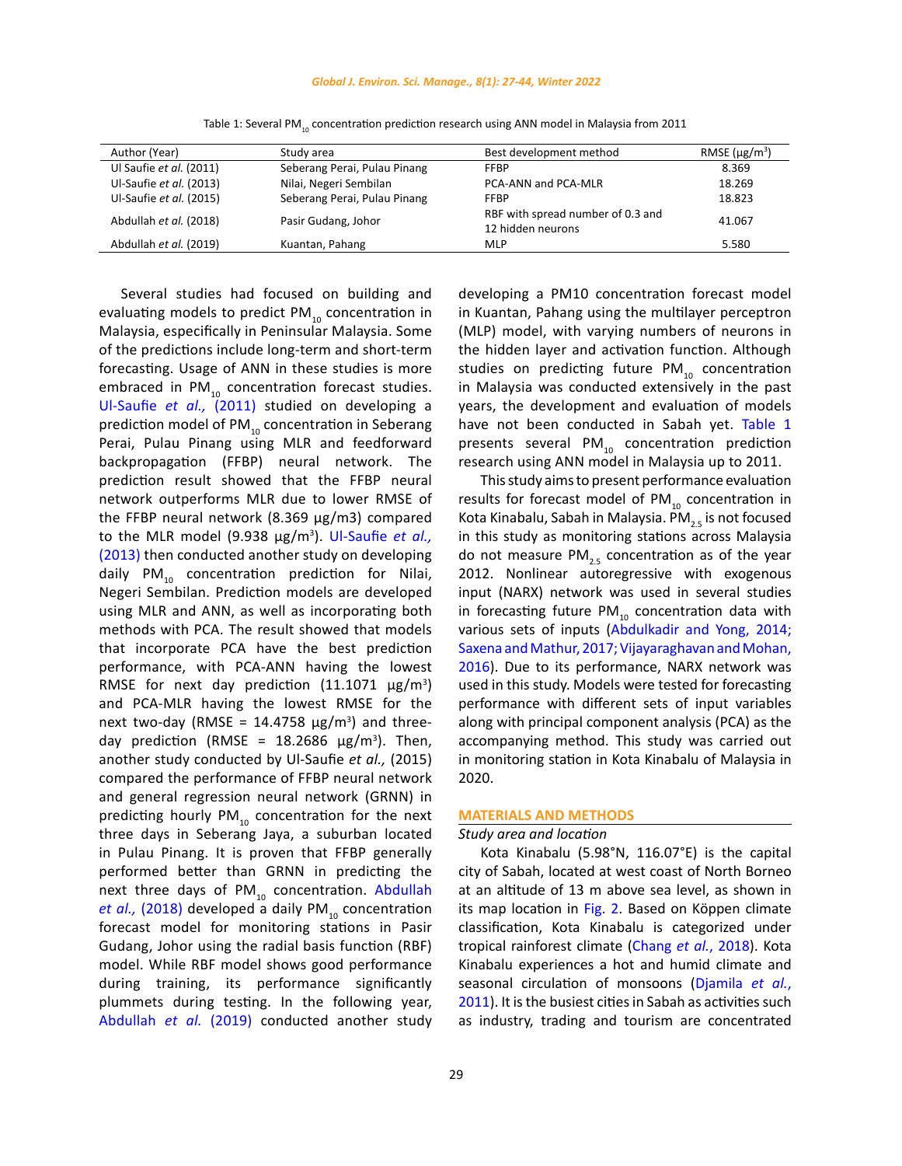#### *Global J. Environ. Sci. Manage., 8(1): 27-44, Winter 2022*

| Author (Year)           | Study area                   | Best development method                                | RMSE $(\mu$ g/m <sup>3</sup> ) |
|-------------------------|------------------------------|--------------------------------------------------------|--------------------------------|
| Ul Saufie et al. (2011) | Seberang Perai, Pulau Pinang | <b>FFBP</b>                                            | 8.369                          |
| Ul-Saufie et al. (2013) | Nilai, Negeri Sembilan       | PCA-ANN and PCA-MLR                                    | 18.269                         |
| Ul-Saufie et al. (2015) | Seberang Perai, Pulau Pinang | <b>FFBP</b>                                            | 18.823                         |
| Abdullah et al. (2018)  | Pasir Gudang, Johor          | RBF with spread number of 0.3 and<br>12 hidden neurons | 41.067                         |
| Abdullah et al. (2019)  | Kuantan, Pahang              | <b>MLP</b>                                             | 5.580                          |

Table 1: Several PM<sub>10</sub> concentration prediction research using ANN model in Malaysia from 2011

evaluating models to predict  $PM_{10}$  concentration in Malaysia, especifically in Peninsular Malaysia. Some of the predictions include long-term and short-term forecasting. Usage of ANN in these studies is more embraced in  $PM_{10}$  concentration forecast studies. [Ul-Saufie](#page-16-0) *et al.,* (2011) studied on developing a prediction model of PM $_{10}$  concentration in Seberang Perai, Pulau Pinang using MLR and feedforward backpropagation (FFBP) neural network. The prediction result showed that the FFBP neural network outperforms MLR due to lower RMSE of the FFBP neural network (8.369 μg/m3) compared to the MLR model (9.938 μg/m3 ). [Ul-Saufie](#page-16-0) *et al.,* [\(2013\)](#page-16-0) then conducted another study on developing daily PM $_{10}$  concentration prediction for Nilai, Negeri Sembilan. Prediction models are developed using MLR and ANN, as well as incorporating both methods with PCA. The result showed that models that incorporate PCA have the best prediction performance, with PCA-ANN having the lowest RMSE for next day prediction  $(11.1071 \mu g/m^3)$ and PCA-MLR having the lowest RMSE for the next two-day (RMSE =  $14.4758 \mu g/m^3$ ) and threeday prediction (RMSE =  $18.2686 \mu g/m^3$ ). Then, another study conducted by Ul-Saufie *et al.,* (2015) compared the performance of FFBP neural network and general regression neural network (GRNN) in predicting hourly PM $_{10}$  concentration for the next three days in Seberang Jaya, a suburban located in Pulau Pinang. It is proven that FFBP generally performed better than GRNN in predicting the next three days of  $PM_{10}$  concentration. Abdullah *et al.,* [\(2018\)](#page-16-0) developed a daily PM<sub>10</sub> concentration forecast model for monitoring stations in Pasir Gudang, Johor using the radial basis function (RBF) model. While RBF model shows good performance during training, its performance significantly plummets during testing. In the following year, [Abdullah](#page-16-0) *et al.* (2019) conducted another study

Several studies had focused on building and

developing a PM10 concentration forecast model in Kuantan, Pahang using the multilayer perceptron (MLP) model, with varying numbers of neurons in the hidden layer and activation function. Although studies on predicting future  $PM_{10}$  concentration in Malaysia was conducted extensively in the past years, the development and evaluation of models have not been conducted in Sabah yet. Table 1 presents several PM $_{10}$  concentration prediction research using ANN model in Malaysia up to 2011.

This study aims to present performance evaluation results for forecast model of  $PM_{10}$  concentration in Kota Kinabalu, Sabah in Malaysia. PM<sub>25</sub> is not focused in this study as monitoring stations across Malaysia do not measure PM<sub>2.5</sub> concentration as of the year 2012. Nonlinear autoregressive with exogenous input (NARX) network was used in several studies in forecasting future  $PM_{10}$  concentration data with various sets of inputs [\(Abdulkadir and Yong, 2014;](#page-16-0) [Saxena and Mathur, 2017; Vijayaraghavan and Mohan,](#page-16-0) [2016](#page-16-0)). Due to its performance, NARX network was used in this study. Models were tested for forecasting performance with different sets of input variables along with principal component analysis (PCA) as the accompanying method. This study was carried out in monitoring station in Kota Kinabalu of Malaysia in 2020.

## **MATERIALS AND METHODS**

#### *Study area and location*

Kota Kinabalu (5.98°N, 116.07°E) is the capital city of Sabah, located at west coast of North Borneo at an altitude of 13 m above sea level, as shown in its map location in [Fig. 2.](#page-3-0) Based on Köppen climate classification, Kota Kinabalu is categorized under tropical rainforest climate (Chang *et al.*[, 2018\)](#page-16-0). Kota Kinabalu experiences a hot and humid climate and seasonal circulation of monsoons ([Djamila](#page-16-0) *et al.*, [2011](#page-16-0)). It is the busiest cities in Sabah as activities such as industry, trading and tourism are concentrated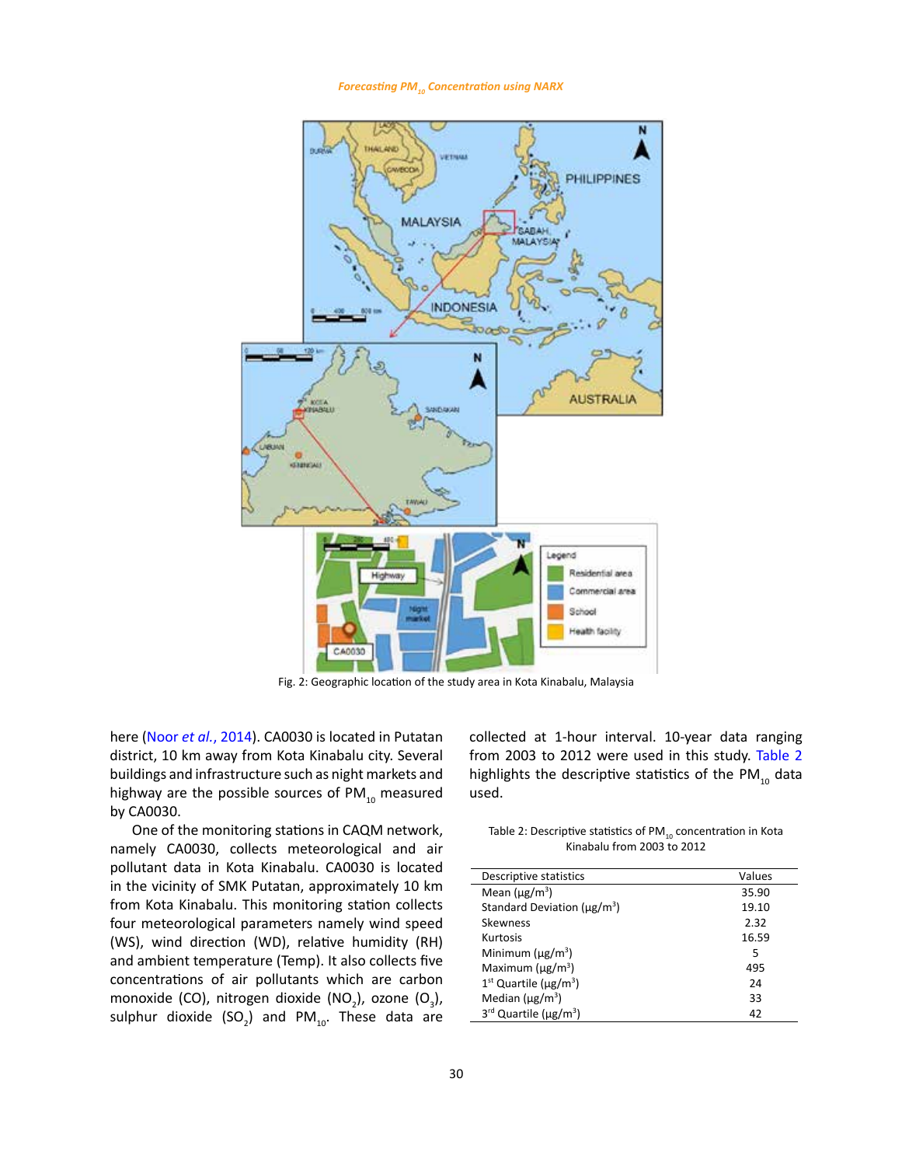*Forecasting PM10 Concentration using NARX*

<span id="page-3-0"></span>

Fig. 2: Geographic location of the study area in Kota Kinabalu, Malaysia

here (Noor *et al.*[, 2014\).](#page-16-0) CA0030 is located in Putatan district, 10 km away from Kota Kinabalu city. Several buildings and infrastructure such as night markets and highway are the possible sources of  $PM_{10}$  measured by CA0030.

One of the monitoring stations in CAQM network, namely CA0030, collects meteorological and air pollutant data in Kota Kinabalu. CA0030 is located in the vicinity of SMK Putatan, approximately 10 km from Kota Kinabalu. This monitoring station collects four meteorological parameters namely wind speed (WS), wind direction (WD), relative humidity (RH) and ambient temperature (Temp). It also collects five concentrations of air pollutants which are carbon monoxide (CO), nitrogen dioxide (NO<sub>2</sub>), ozone (O<sub>3</sub>), sulphur dioxide  $(SO_2)$  and PM<sub>10</sub>. These data are collected at 1-hour interval. 10-year data ranging from 2003 to 2012 were used in this study. Table 2 highlights the descriptive statistics of the PM $_{10}$  data used.

 $\frac{1}{2}$  air **EXECONCO** concentration in Kinabalu from 2003 to 2012 Table 2: Descriptive statistics of PM<sub>10</sub> concentration in Kota

| Descriptive statistics                        | Values |
|-----------------------------------------------|--------|
| Mean $(\mu$ g/m <sup>3</sup> )                | 35.90  |
| Standard Deviation ( $\mu$ g/m <sup>3</sup> ) | 19.10  |
| Skewness                                      | 2.32   |
| Kurtosis                                      | 16.59  |
| Minimum $(\mu g/m^3)$                         | 5      |
| Maximum ( $\mu$ g/m <sup>3</sup> )            | 495    |
| $1st$ Quartile ( $\mu$ g/m <sup>3</sup> )     | 24     |
| Median $(\mu$ g/m <sup>3</sup> )              | 33     |
| 3rd Quartile (µg/m <sup>3</sup> )             | 42     |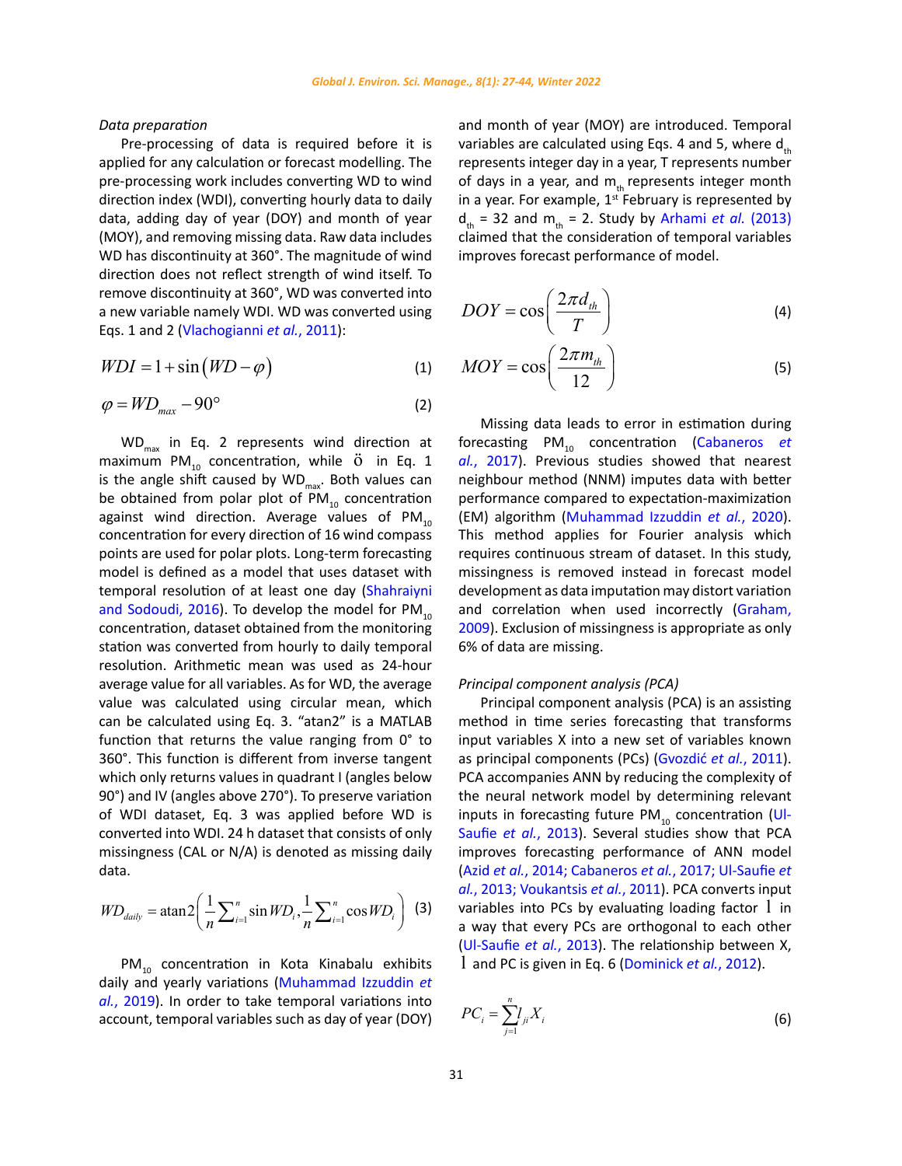## <span id="page-4-0"></span>*Data preparation*

Pre-processing of data is required before it is applied for any calculation or forecast modelling. The pre-processing work includes converting WD to wind direction index (WDI), converting hourly data to daily data, adding day of year (DOY) and month of year (MOY), and removing missing data. Raw data includes WD has discontinuity at 360°. The magnitude of wind direction does not reflect strength of wind itself. To remove discontinuity at 360°, WD was converted into a new variable namely WDI. WD was converted using Eqs. 1 and 2 [\(Vlachogianni](#page-16-0) *et al.*, 2011):

$$
WDI = 1 + \sin(WD - \varphi) \tag{1}
$$

$$
\varphi = W D_{\text{max}} - 90^{\circ} \tag{2}
$$

 $WD_{max}$  in Eq. 2 represents wind direction at maximum PM $_{10}$  concentration, while  $\ddot{o}$  in Eq. 1 is the angle shift caused by  $WD_{max}$ . Both values can be obtained from polar plot of  $PM_{10}$  concentration against wind direction. Average values of  $PM_{10}$ concentration for every direction of 16 wind compass points are used for polar plots. Long-term forecasting model is defined as a model that uses dataset with temporal resolution of at least one day ([Shahraiyni](#page-16-0)  [and Sodoudi, 2016\)](#page-16-0). To develop the model for  $PM_{10}$ concentration, dataset obtained from the monitoring station was converted from hourly to daily temporal resolution. Arithmetic mean was used as 24-hour average value for all variables. As for WD, the average value was calculated using circular mean, which can be calculated using Eq. 3. "atan2" is a MATLAB function that returns the value ranging from 0° to 360°. This function is different from inverse tangent which only returns values in quadrant I (angles below 90°) and IV (angles above 270°). To preserve variation of WDI dataset, Eq. 3 was applied before WD is converted into WDI. 24 h dataset that consists of only missingness (CAL or N/A) is denoted as missing daily data.

$$
WD_{\text{daily}} = \text{atan2} \bigg( \frac{1}{n} \sum_{i=1}^{n} \sin WD_{i}, \frac{1}{n} \sum_{i=1}^{n} \cos WD_{i} \bigg)
$$
 (3)

PM<sub>10</sub> concentration in Kota Kinabalu exhibits daily and yearly variations [\(Muhammad Izzuddin](#page-16-0) *et al.*[, 2019\)](#page-16-0). In order to take temporal variations into account, temporal variables such as day of year (DOY)

and month of year (MOY) are introduced. Temporal variables are calculated using Eqs. 4 and 5, where  $d_{th}$ represents integer day in a year, T represents number of days in a year, and  $m_{th}$  represents integer month in a year. For example,  $1^{st}$  February is represented by  $d_{th}$  = 32 and m<sub>th</sub> = 2. Study by Arhami *et al.* (2013) claimed that the consideration of temporal variables improves forecast performance of model.

$$
DOY = \cos\left(\frac{2\pi d_{th}}{T}\right) \tag{4}
$$

$$
MOY = \cos\left(\frac{2\pi m_{th}}{12}\right) \tag{5}
$$

Missing data leads to error in estimation during forecasting PM<sub>10</sub> concentration ([Cabaneros](#page-16-0) *et al.*[, 2017\).](#page-16-0) Previous studies showed that nearest neighbour method (NNM) imputes data with better performance compared to expectation-maximization (EM) algorithm ([Muhammad Izzuddin](#page-16-0) *et al.*, 2020). This method applies for Fourier analysis which requires continuous stream of dataset. In this study, missingness is removed instead in forecast model development as data imputation may distort variation and correlation when used incorrectly [\(Graham,](#page-16-0) [2009](#page-16-0)). Exclusion of missingness is appropriate as only 6% of data are missing.

## *Principal component analysis (PCA)*

Principal component analysis (PCA) is an assisting method in time series forecasting that transforms input variables X into a new set of variables known as principal components (PCs) ([Gvozdić](#page-16-0) *et al.*, 2011). PCA accompanies ANN by reducing the complexity of the neural network model by determining relevant inputs in forecasting future  $PM_{10}$  concentration [\(Ul-](#page-16-0)Saufie *et al.*[, 2013\).](#page-16-0) Several studies show that PCA improves forecasting performance of ANN model (Azid *et al.*[, 2014; Cabaneros](#page-16-0) *et al.*, 2017; Ul-Saufie *et al.*[, 2013; Voukantsis](#page-16-0) *et al.*, 2011). PCA converts input variables into PCs by evaluating loading factor  $1$  in a way that every PCs are orthogonal to each other ([Ul-Saufie](#page-16-0) *et al.*, 2013). The relationship between X, l and PC is given in Eq. 6 [\(Dominick](#page-16-0) *et al.*, 2012).

$$
PC_i = \sum_{j=1}^{n} l_{ji} X_i
$$
\n
$$
(6)
$$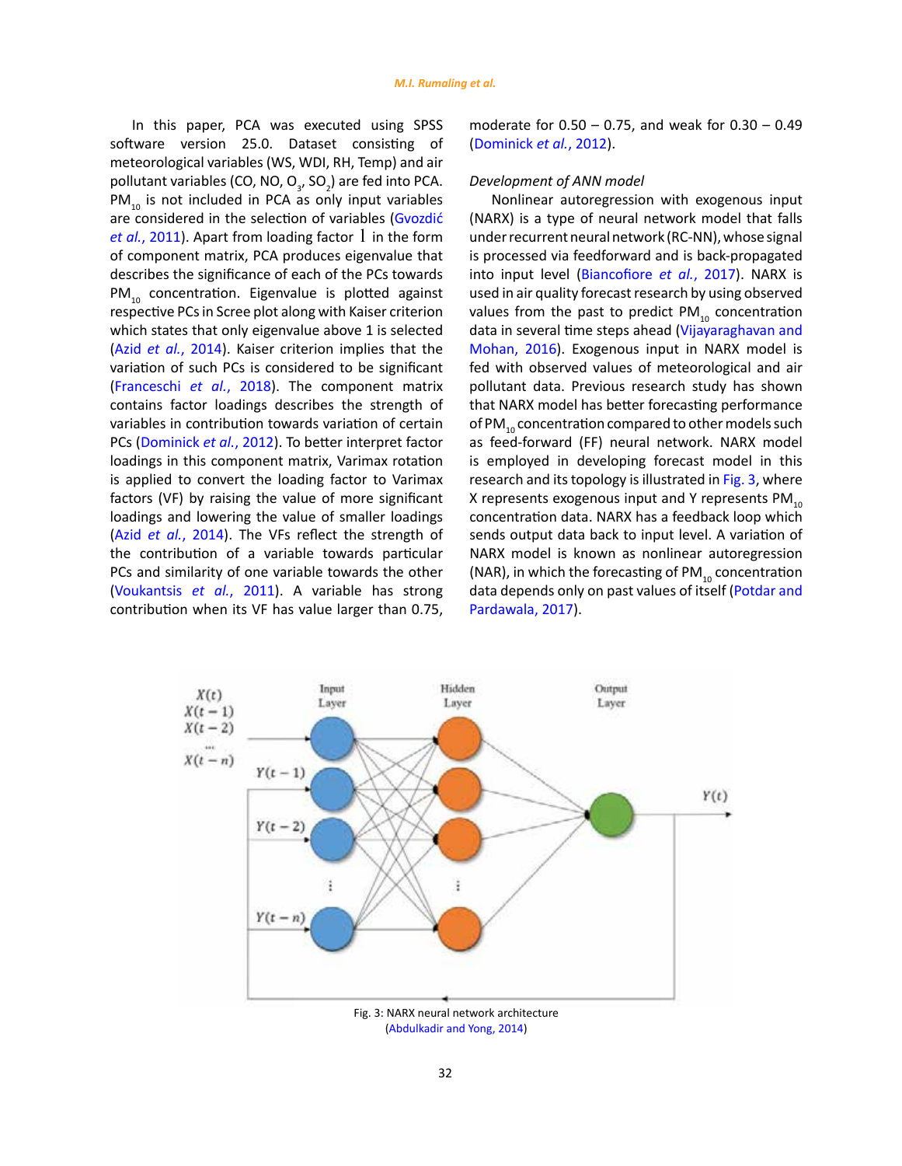In this paper, PCA was executed using SPSS software version 25.0. Dataset consisting of meteorological variables (WS, WDI, RH, Temp) and air pollutant variables (CO, NO,  $O_{3}$ , SO<sub>2</sub>) are fed into PCA.  $PM_{10}$  is not included in PCA as only input variables are considered in the selection of variables [\(Gvozdić](#page-16-0)  *et al.*[, 2011\).](#page-16-0) Apart from loading factor 1 in the form of component matrix, PCA produces eigenvalue that describes the significance of each of the PCs towards PM<sub>10</sub> concentration. Eigenvalue is plotted against respective PCs in Scree plot along with Kaiser criterion which states that only eigenvalue above 1 is selected (Azid *et al.*[, 2014\)](#page-16-0). Kaiser criterion implies that the variation of such PCs is considered to be significant ([Franceschi](#page-16-0) *et al.*, 2018). The component matrix contains factor loadings describes the strength of variables in contribution towards variation of certain PCs ([Dominick](#page-16-0) *et al.*, 2012). To better interpret factor loadings in this component matrix, Varimax rotation is applied to convert the loading factor to Varimax factors (VF) by raising the value of more significant loadings and lowering the value of smaller loadings (Azid *et al.*[, 2014\)](#page-16-0). The VFs reflect the strength of the contribution of a variable towards particular PCs and similarity of one variable towards the other ([Voukantsis](#page-16-0) *et al.*, 2011). A variable has strong contribution when its VF has value larger than 0.75,

moderate for 0.50 – 0.75, and weak for 0.30 – 0.49 ([Dominick](#page-16-0) *et al.*, 2012).

### *Development of ANN model*

Nonlinear autoregression with exogenous input (NARX) is a type of neural network model that falls under recurrent neural network (RC-NN), whose signal is processed via feedforward and is back-propagated into input level ([Biancofiore](#page-16-0) *et al.*, 2017). NARX is used in air quality forecast research by using observed values from the past to predict  $PM_{10}$  concentration data in several time steps ahead [\(Vijayaraghavan and](#page-16-0) [Mohan, 2016\).](#page-16-0) Exogenous input in NARX model is fed with observed values of meteorological and air pollutant data. Previous research study has shown that NARX model has better forecasting performance of PM<sub>10</sub> concentration compared to other models such as feed-forward (FF) neural network. NARX model is employed in developing forecast model in this research and its topology is illustrated in Fig. 3, where X represents exogenous input and Y represents  $PM_{10}$ concentration data. NARX has a feedback loop which sends output data back to input level. A variation of NARX model is known as nonlinear autoregression (NAR), in which the forecasting of  $PM_{10}$  concentration data depends only on past values of itself ([Potdar and](#page-16-0) [Pardawala, 2017\).](#page-16-0)



(Abdulkadir and Yong, 2014)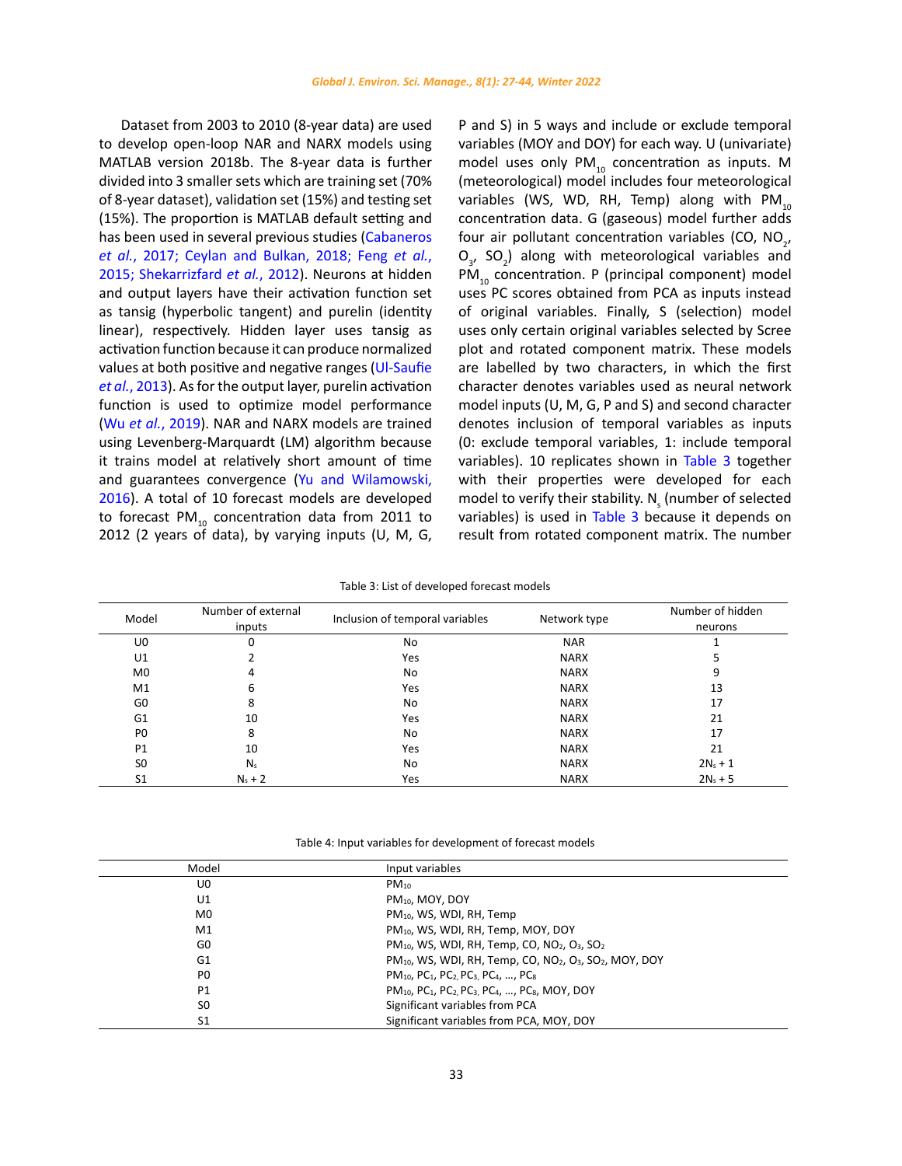<span id="page-6-0"></span>Dataset from 2003 to 2010 (8-year data) are used to develop open-loop NAR and NARX models using MATLAB version 2018b. The 8-year data is further divided into 3 smaller sets which are training set (70% of 8-year dataset), validation set (15%) and testing set (15%). The proportion is MATLAB default setting and has been used in several previous studies [\(Cabaneros](#page-16-0)  *et al.*[, 2017; Ceylan and Bulkan, 2018; Feng](#page-16-0) *et al.*, [2015; Shekarrizfard](#page-16-0) *et al.*, 2012). Neurons at hidden and output layers have their activation function set as tansig (hyperbolic tangent) and purelin (identity linear), respectively. Hidden layer uses tansig as activation function because it can produce normalized values at both positive and negative ranges [\(Ul-Saufie](#page-16-0)  *et al.*[, 2013\).](#page-16-0) As for the output layer, purelin activation function is used to optimize model performance (Wu *et al.*[, 2019\)](#page-16-0). NAR and NARX models are trained using Levenberg-Marquardt (LM) algorithm because it trains model at relatively short amount of time and guarantees convergence ([Yu and Wilamowski,](#page-16-0)  [2016](#page-16-0)). A total of 10 forecast models are developed to forecast PM $_{10}$  concentration data from 2011 to 2012 (2 years of data), by varying inputs (U, M, G,

P and S) in 5 ways and include or exclude temporal variables (MOY and DOY) for each way. U (univariate) model uses only  $PM_{10}$  concentration as inputs. M (meteorological) model includes four meteorological variables (WS, WD, RH, Temp) along with  $PM_{10}$ concentration data. G (gaseous) model further adds four air pollutant concentration variables (CO,  $NO_{2'}$  $O_{3}$ , SO<sub>2</sub>) along with meteorological variables and PM<sub>10</sub> concentration. P (principal component) model uses PC scores obtained from PCA as inputs instead of original variables. Finally, S (selection) model uses only certain original variables selected by Scree plot and rotated component matrix. These models are labelled by two characters, in which the first character denotes variables used as neural network model inputs (U, M, G, P and S) and second character denotes inclusion of temporal variables as inputs (0: exclude temporal variables, 1: include temporal variables). 10 replicates shown in Table 3 together with their properties were developed for each model to verify their stability.  $N_{\rm s}$  (number of selected variables) is used in [Table 3](#page-16-0) because it depends on result from rotated component matrix. The number

Table 3: List of developed forecast models Table 3: List of developed forecast models

| Model          | Number of external<br>inputs | Inclusion of temporal variables | Network type | Number of hidden<br>neurons |
|----------------|------------------------------|---------------------------------|--------------|-----------------------------|
| U0             | 0                            | No.                             | <b>NAR</b>   |                             |
| U1             |                              | Yes                             | <b>NARX</b>  |                             |
| M <sub>0</sub> | 4                            | No.                             | <b>NARX</b>  | 9                           |
| M1             | 6                            | Yes                             | <b>NARX</b>  | 13                          |
| G <sub>0</sub> | 8                            | No.                             | <b>NARX</b>  | 17                          |
| G1             | 10                           | Yes                             | <b>NARX</b>  | 21                          |
| P <sub>0</sub> | 8                            | No.                             | <b>NARX</b>  | 17                          |
| P <sub>1</sub> | 10                           | Yes                             | <b>NARX</b>  | 21                          |
| S <sub>0</sub> | $N_{s}$                      | No.                             | <b>NARX</b>  | $2N_{s} + 1$                |
| S <sub>1</sub> | $N_s + 2$                    | Yes                             | <b>NARX</b>  | $2N_s + 5$                  |

Table 4: Input variables for development of forecast models Table 4: Input variables for development of forecast models

| Model          | Input variables                                                                                                         |  |
|----------------|-------------------------------------------------------------------------------------------------------------------------|--|
| U0             | $PM_{10}$                                                                                                               |  |
| U1             | $PM_{10}$ , MOY, DOY                                                                                                    |  |
| M <sub>0</sub> | PM <sub>10</sub> , WS, WDI, RH, Temp                                                                                    |  |
| M1             | PM <sub>10</sub> , WS, WDI, RH, Temp, MOY, DOY                                                                          |  |
| G0             | PM <sub>10</sub> , WS, WDI, RH, Temp, CO, NO <sub>2</sub> , O <sub>3</sub> , SO <sub>2</sub>                            |  |
| G1             | $PM_{10}$ , WS, WDI, RH, Temp, CO, NO <sub>2</sub> , O <sub>3</sub> , SO <sub>2</sub> , MOY, DOY                        |  |
| P <sub>0</sub> | PM <sub>10</sub> , PC <sub>1</sub> , PC <sub>2</sub> , PC <sub>3</sub> , PC <sub>4</sub> , , PC <sub>8</sub>            |  |
| <b>P1</b>      | PM <sub>10</sub> , PC <sub>1</sub> , PC <sub>2</sub> , PC <sub>3</sub> , PC <sub>4</sub> , , PC <sub>8</sub> , MOY, DOY |  |
| S <sub>0</sub> | Significant variables from PCA                                                                                          |  |
| S1             | Significant variables from PCA, MOY, DOY                                                                                |  |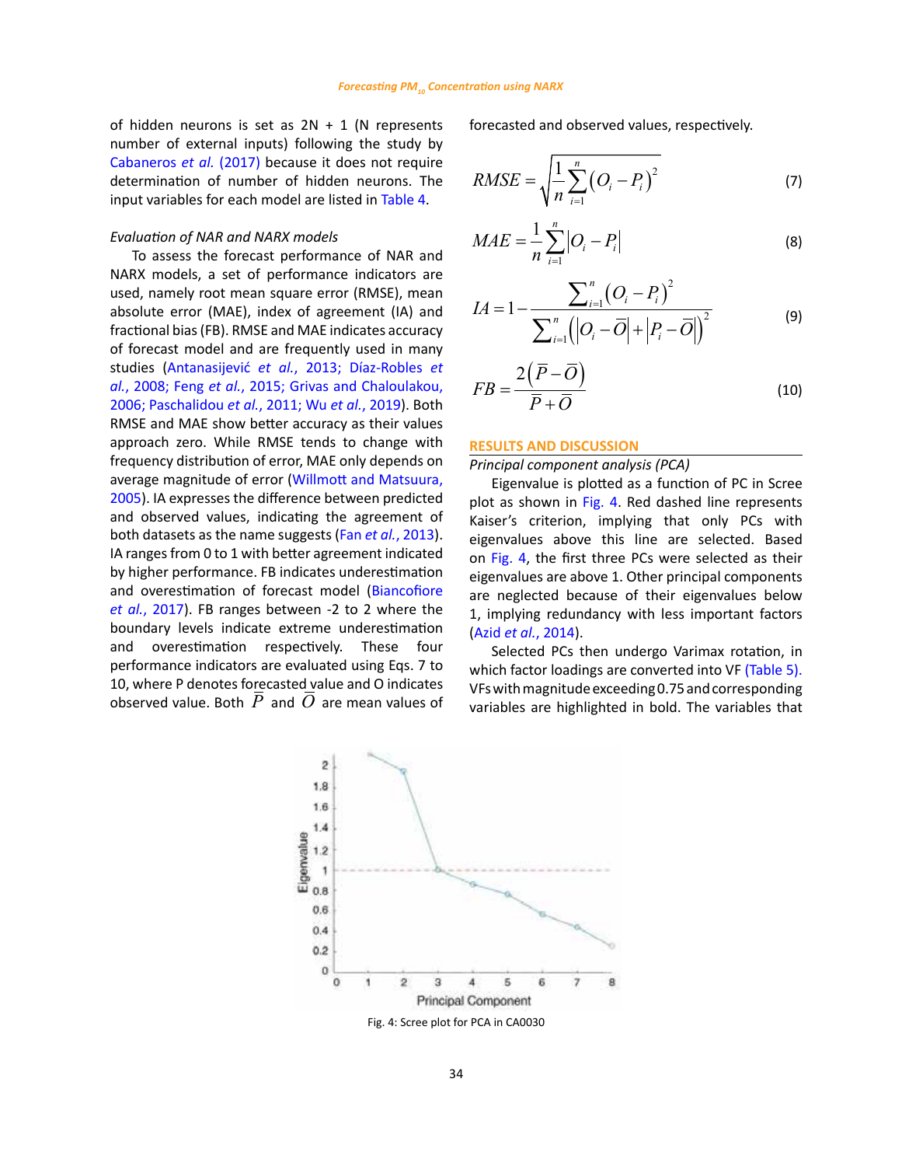of hidden neurons is set as  $2N + 1$  (N represents number of external inputs) following the study by [Cabaneros](#page-16-0) *et al.* (2017) because it does not require determination of number of hidden neurons. The input variables for each model are listed in [Table 4.](#page-6-0)

## *Evaluation of NAR and NARX models*

To assess the forecast performance of NAR and NARX models, a set of performance indicators are used, namely root mean square error (RMSE), mean absolute error (MAE), index of agreement (IA) and fractional bias (FB). RMSE and MAE indicates accuracy of forecast model and are frequently used in many studies (Antanasijević *et al.*[, 2013; Díaz-Robles](#page-16-0) *et al.*, 2008; Feng *et al.*[, 2015; Grivas and Chaloulakou,](#page-16-0)  [2006; Paschalidou](#page-16-0) *et al.*, 2011; Wu *et al.*, 2019). Both RMSE and MAE show better accuracy as their values approach zero. While RMSE tends to change with frequency distribution of error, MAE only depends on average magnitude of error [\(Willmott and Matsuura,](#page-16-0)  [2005](#page-16-0)). IA expresses the difference between predicted and observed values, indicating the agreement of both datasets as the name suggests (Fan *et al.*[, 2013\).](#page-16-0)  IA ranges from 0 to 1 with better agreement indicated by higher performance. FB indicates underestimation and overestimation of forecast model [\(Biancofiore](#page-16-0)  *et al.*[, 2017\).](#page-16-0) FB ranges between -2 to 2 where the boundary levels indicate extreme underestimation and overestimation respectively. These four performance indicators are evaluated using Eqs. 7 to 10, where P denotes forecasted value and O indicates observed value. Both  $\overline{P}$  and  $\overline{O}$  are mean values of forecasted and observed values, respectively.

$$
RMSE = \sqrt{\frac{1}{n} \sum_{i=1}^{n} (O_i - P_i)^2}
$$
 (7)

$$
MAE = \frac{1}{n} \sum_{i=1}^{n} |O_i - P_i|
$$
 (8)

$$
IA = 1 - \frac{\sum_{i=1}^{n} (O_i - P_i)^2}{\sum_{i=1}^{n} (|O_i - \overline{O}| + |P_i - \overline{O}|)^2}
$$
(9)

$$
FB = \frac{2(\overline{P} - \overline{O})}{\overline{P} + \overline{O}}
$$
\n(10)

#### **RESULTS AND DISCUSSION**

## *Principal component analysis (PCA)*

Eigenvalue is plotted as a function of PC in Scree plot as shown in Fig. 4. Red dashed line represents Kaiser's criterion, implying that only PCs with eigenvalues above this line are selected. Based on Fig. 4, the first three PCs were selected as their eigenvalues are above 1. Other principal components are neglected because of their eigenvalues below 1, implying redundancy with less important factors (Azid *et al.*[, 2014\).](#page-16-0)

Selected PCs then undergo Varimax rotation, in which factor loadings are converted into VF [\(Table 5\).](#page-8-0) VFs with magnitude exceeding 0.75 and corresponding variables are highlighted in bold. The variables that

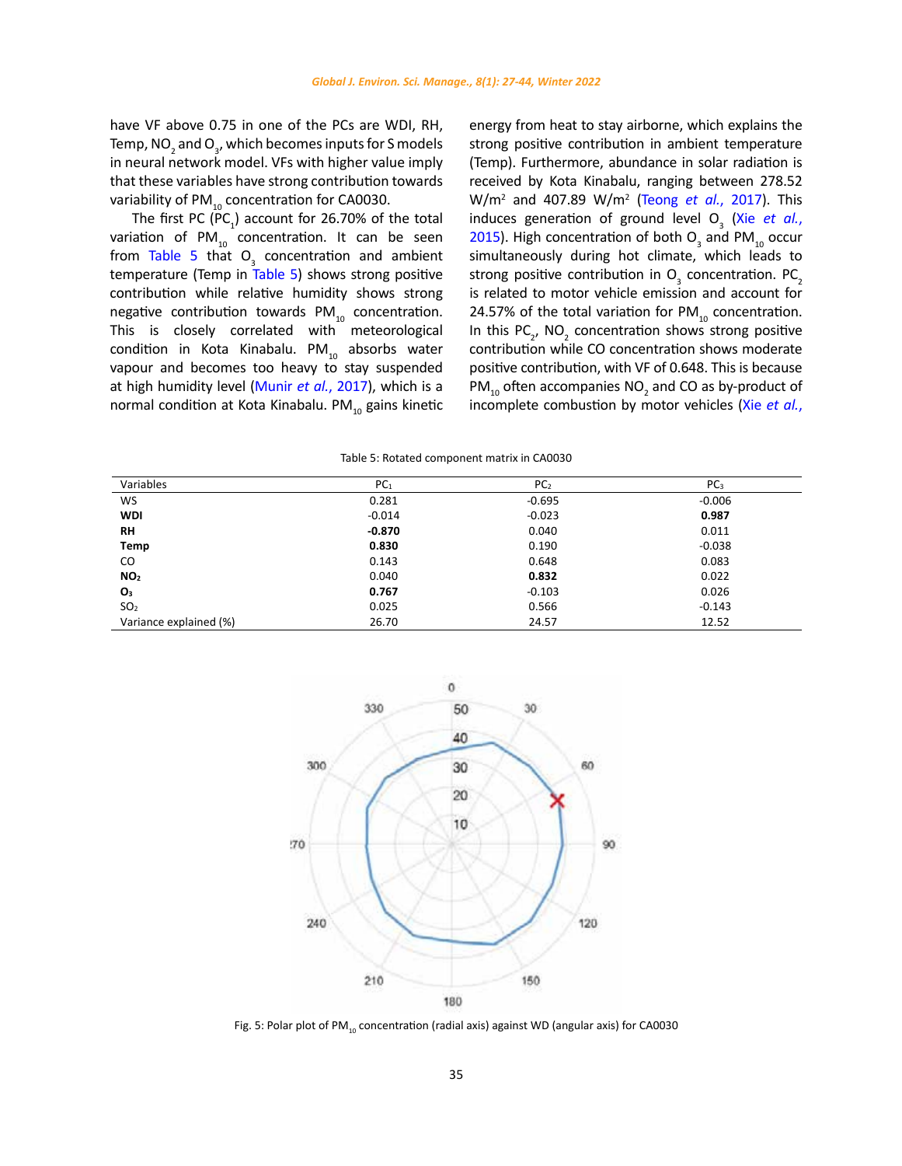<span id="page-8-0"></span>have VF above 0.75 in one of the PCs are WDI, RH, Temp, NO<sub>2</sub> and O<sub>3</sub>, which becomes inputs for S models in neural network model. VFs with higher value imply that these variables have strong contribution towards variability of  $PM_{10}$  concentration for CA0030.

The first PC (PC<sub>1</sub>) account for 26.70% of the total variation of  $PM_{10}$  concentration. It can be seen from Table 5 that  $O<sub>3</sub>$  concentration and ambient temperature (Temp in Table 5) shows strong positive contribution while relative humidity shows strong negative contribution towards PM $_{10}$  concentration. This is closely correlated with meteorological condition in Kota Kinabalu. PM $_{10}$  absorbs water vapour and becomes too heavy to stay suspended at high humidity level [\(Munir](#page-16-0) *et al.*, 2017), which is a normal condition at Kota Kinabalu. PM $_{10}$  gains kinetic

energy from heat to stay airborne, which explains the strong positive contribution in ambient temperature (Temp). Furthermore, abundance in solar radiation is received by Kota Kinabalu, ranging between 278.52 W/m<sup>2</sup> and 407.89 W/m<sup>2</sup> (Teong *et al.*[, 2017\).](#page-16-0) This induces generation of ground level  $O_3$  (Xie *[et al.](#page-16-0)*, [2015](#page-16-0)). High concentration of both  $O_3$  and PM<sub>10</sub> occur simultaneously during hot climate, which leads to strong positive contribution in  $O_3$  concentration. PC<sub>2</sub> is related to motor vehicle emission and account for 24.57% of the total variation for  $PM_{10}$  concentration. In this  $PC_{2}$ , NO<sub>2</sub> concentration shows strong positive contribution while CO concentration shows moderate positive contribution, with VF of 0.648. This is because  $PM_{10}$  often accompanies  $NO_2$  and CO as by-product of incomplete combustion by motor vehicles (Xie *[et al.](#page-16-0)*,

| DC<br>~C1 | DC.<br>ر با |  |
|-----------|-------------|--|
| 0.281     | $-0.695$    |  |

Table 5: Rotated component matrix in CA0030 Table 5: Rotated component matrix in CA0030

| Variables              | PC <sub>1</sub> | PC <sub>2</sub> | PC <sub>3</sub> |
|------------------------|-----------------|-----------------|-----------------|
| <b>WS</b>              | 0.281           | $-0.695$        | $-0.006$        |
| <b>WDI</b>             | $-0.014$        | $-0.023$        | 0.987           |
| <b>RH</b>              | $-0.870$        | 0.040           | 0.011           |
| Temp                   | 0.830           | 0.190           | $-0.038$        |
| CO                     | 0.143           | 0.648           | 0.083           |
| NO <sub>2</sub>        | 0.040           | 0.832           | 0.022           |
| O <sub>3</sub>         | 0.767           | $-0.103$        | 0.026           |
| SO <sub>2</sub>        | 0.025           | 0.566           | $-0.143$        |
| Variance explained (%) | 26.70           | 24.57           | 12.52           |



Fig. 5: Polar plot of PM<sub>10</sub> concentration (radial axis) against WD (angular axis) for CA0030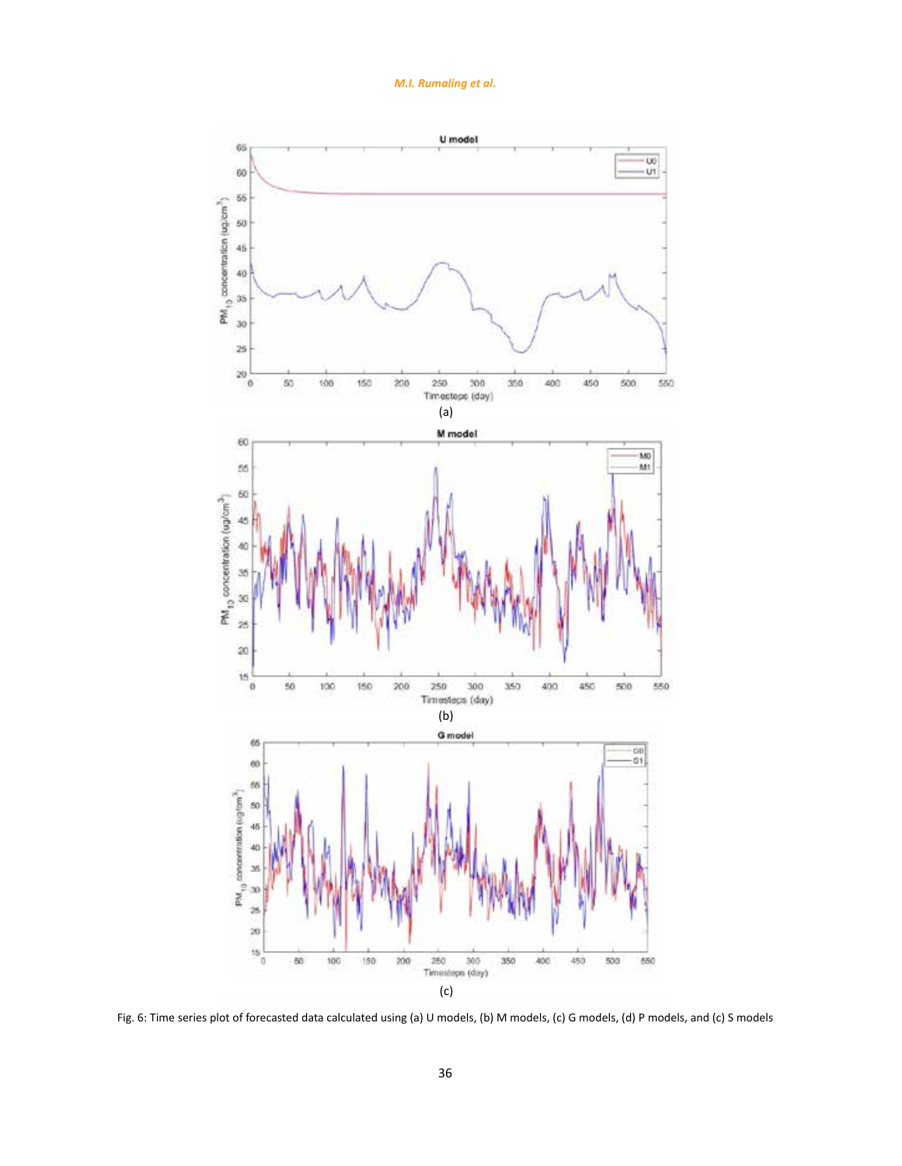*M.I. Rumaling et al.*

<span id="page-9-0"></span>

Fig. 6: Time series plot of forecasted data calculated using (a) U models, (b) M models, (c) G models, (d) P models, and (c) S models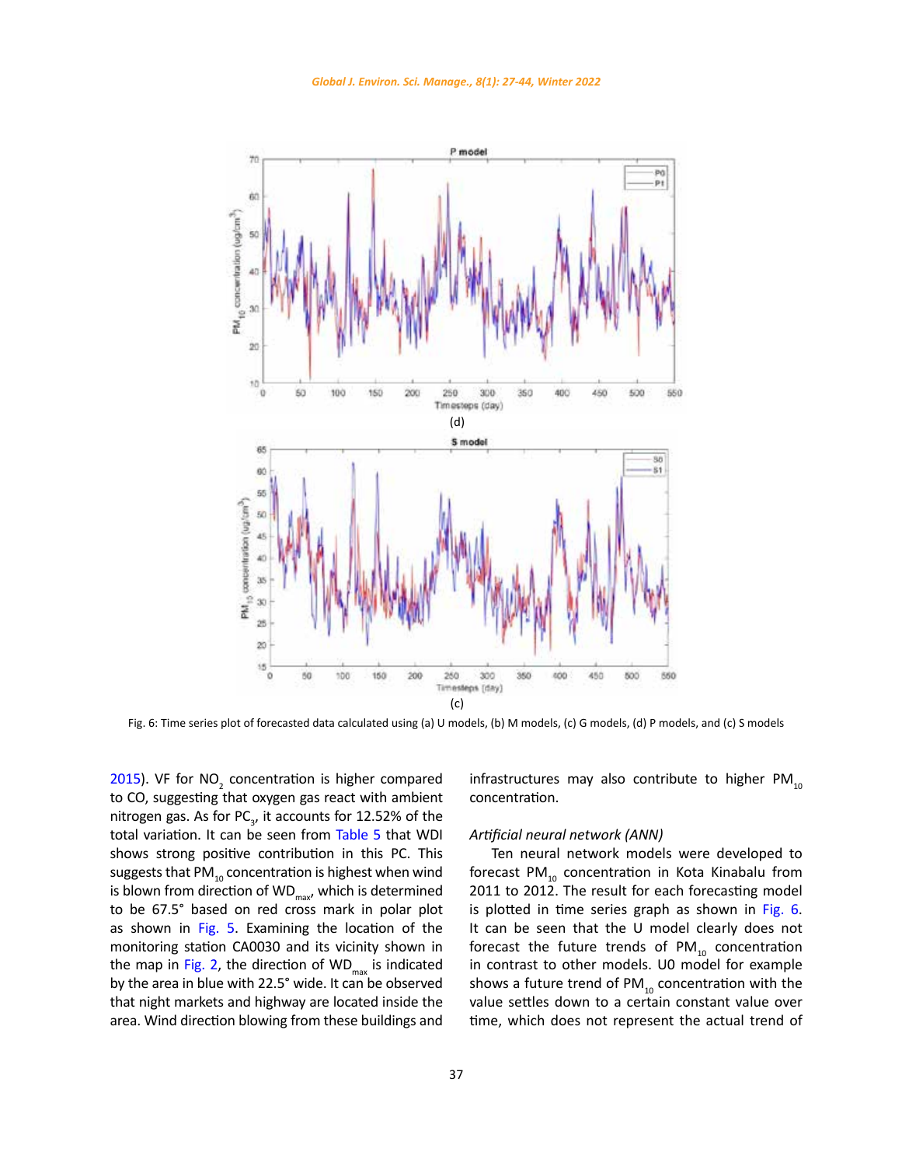

Fig. 6: Time series plot of forecasted data calculated using (a) U models, (b) M models, (c) G models, (d) P models, and (c) S models

[2015](#page-16-0)). VF for  $NO<sub>2</sub>$  concentration is higher compared to CO, suggesting that oxygen gas react with ambient nitrogen gas. As for PC<sub>3</sub>, it accounts for 12.52% of the total variation. It can be seen from [Table 5](#page-8-0) that WDI shows strong positive contribution in this PC. This suggests that PM $_{10}$  concentration is highest when wind is blown from direction of  $WD_{\text{max}}$ , which is determined to be 67.5° based on red cross mark in polar plot as shown in [Fig. 5](#page-4-0). Examining the location of the monitoring station CA0030 and its vicinity shown in the map in [Fig. 2](#page-3-0), the direction of  $WD_{max}$  is indicated by the area in blue with 22.5° wide. It can be observed that night markets and highway are located inside the area. Wind direction blowing from these buildings and

infrastructures may also contribute to higher  $PM_{10}$ concentration.

#### *Artificial neural network (ANN)*

Ten neural network models were developed to forecast PM $_{10}$  concentration in Kota Kinabalu from 2011 to 2012. The result for each forecasting model is plotted in time series graph as shown in [Fig. 6.](#page-9-0) It can be seen that the U model clearly does not forecast the future trends of  $PM_{10}$  concentration in contrast to other models. U0 model for example shows a future trend of  $PM_{10}$  concentration with the value settles down to a certain constant value over time, which does not represent the actual trend of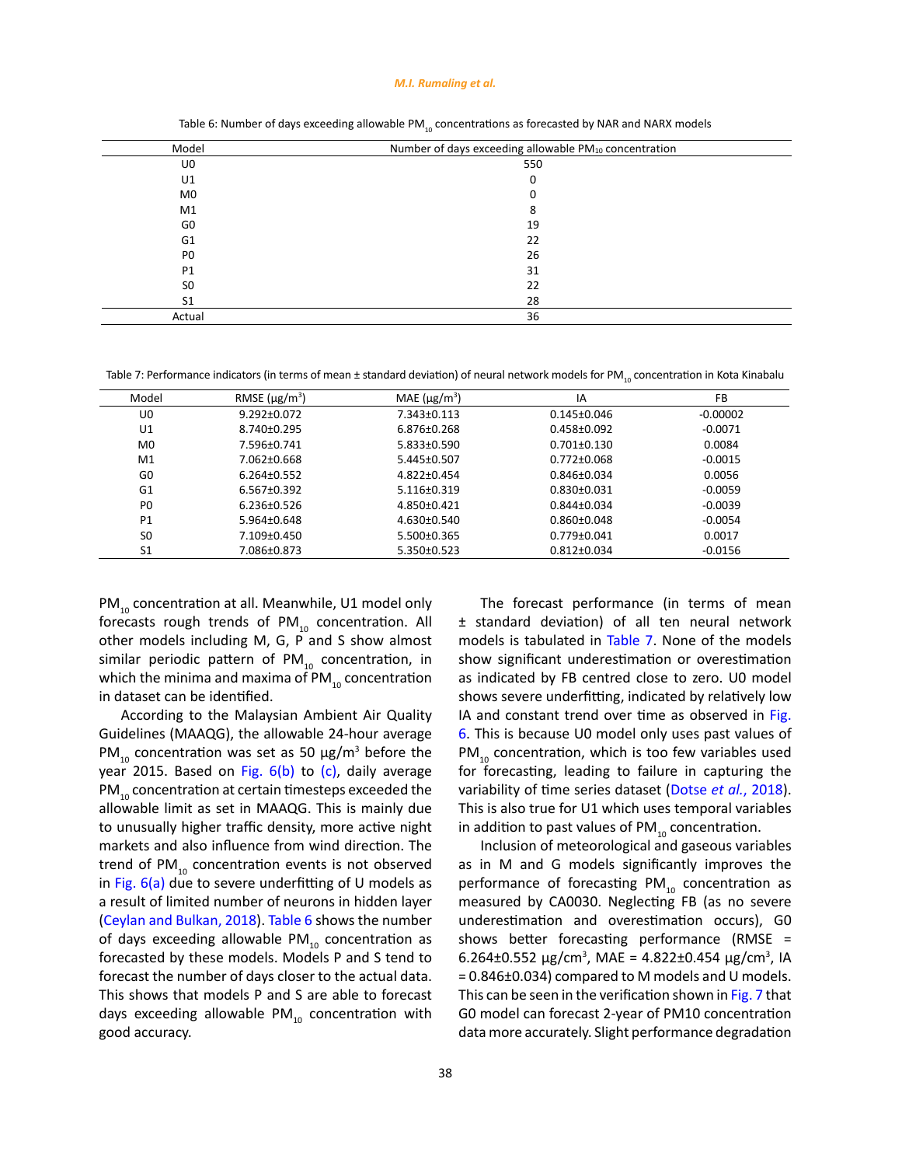#### *M.I. Rumaling et al.*

<span id="page-11-0"></span>

| Model          | Number of days exceeding allowable PM10 concentration |  |
|----------------|-------------------------------------------------------|--|
| U0             | 550                                                   |  |
| U1             | 0                                                     |  |
| M <sub>0</sub> |                                                       |  |
| M1             | 8                                                     |  |
| G <sub>0</sub> | 19                                                    |  |
| G <sub>1</sub> | 22                                                    |  |
| P <sub>0</sub> | 26                                                    |  |
| P <sub>1</sub> | 31                                                    |  |
| S <sub>0</sub> | 22                                                    |  |
| S <sub>1</sub> | 28                                                    |  |
| Actual         | 36                                                    |  |

Table 6: Number of days exceeding allowable PM<sub>10</sub> concentrations as forecasted by NAR and NARX models

Table 7: Performance indicators (in terms of mean ± standard deviation) of neural network models for PM<sub>10</sub> concentration in Kota Kinabalu

| Model          | RMSE $(\mu g/m^3)$ | MAE $(\mu$ g/m <sup>3</sup> ) | IA                | FB         |
|----------------|--------------------|-------------------------------|-------------------|------------|
| U0             | $9.292 \pm 0.072$  | $7.343 \pm 0.113$             | $0.145 \pm 0.046$ | $-0.00002$ |
| U1             | $8.740 \pm 0.295$  | $6.876 \pm 0.268$             | $0.458 \pm 0.092$ | $-0.0071$  |
| M <sub>0</sub> | 7.596±0.741        | 5.833±0.590                   | $0.701 \pm 0.130$ | 0.0084     |
| M <sub>1</sub> | 7.062±0.668        | 5.445±0.507                   | $0.772 \pm 0.068$ | $-0.0015$  |
| G <sub>0</sub> | $6.264 \pm 0.552$  | $4.822 \pm 0.454$             | $0.846 \pm 0.034$ | 0.0056     |
| G <sub>1</sub> | $6.567 \pm 0.392$  | $5.116 \pm 0.319$             | $0.830 \pm 0.031$ | $-0.0059$  |
| P <sub>0</sub> | $6.236 \pm 0.526$  | $4.850\pm0.421$               | $0.844 \pm 0.034$ | $-0.0039$  |
| P <sub>1</sub> | $5.964 \pm 0.648$  | $4.630\pm0.540$               | $0.860 \pm 0.048$ | $-0.0054$  |
| S <sub>0</sub> | $7.109 \pm 0.450$  | 5.500±0.365                   | $0.779 \pm 0.041$ | 0.0017     |
| S1             | 7.086±0.873        | 5.350±0.523                   | $0.812 \pm 0.034$ | $-0.0156$  |

 $PM_{10}$  concentration at all. Meanwhile, U1 model only forecasts rough trends of  $PM_{10}$  concentration. All other models including M, G, P and S show almost similar periodic pattern of  $PM_{10}$  concentration, in which the minima and maxima of  $PM_{10}$  concentration in dataset can be identified.

According to the Malaysian Ambient Air Quality Guidelines (MAAQG), the allowable 24-hour average PM<sub>10</sub> concentration was set as 50  $\mu$ g/m<sup>3</sup> before the year 2015. Based on Fig.  $6(b)$  to  $(c)$ , daily average PM<sub>10</sub> concentration at certain timesteps exceeded the allowable limit as set in MAAQG. This is mainly due to unusually higher traffic density, more active night markets and also influence from wind direction. The trend of  $PM_{10}$  concentration events is not observed in Fig.  $6(a)$  due to severe underfitting of U models as a result of limited number of neurons in hidden layer (Ceylan and Bulkan, 2018). Table 6 shows the number of days exceeding allowable PM $_{10}$  concentration as forecasted by these models. Models P and S tend to forecast the number of days closer to the actual data. This shows that models P and S are able to forecast days exceeding allowable PM $_{10}$  concentration with good accuracy.

The forecast performance (in terms of mean ± standard deviation) of all ten neural network models is tabulated in Table 7. None of the models show significant underestimation or overestimation as indicated by FB centred close to zero. U0 model shows severe underfitting, indicated by relatively low IA and constant trend over time as observed in [Fig.](#page-9-0) [6](#page-9-0). This is because U0 model only uses past values of  $PM_{10}$  concentration, which is too few variables used for forecasting, leading to failure in capturing the variability of time series dataset (Dotse *et al.*[, 2018\).](#page-16-0) This is also true for U1 which uses temporal variables in addition to past values of  $PM_{10}$  concentration.

Inclusion of meteorological and gaseous variables as in M and G models significantly improves the performance of forecasting  $PM_{10}$  concentration as measured by CA0030. Neglecting FB (as no severe underestimation and overestimation occurs), G0 shows better forecasting performance (RMSE = 6.264±0.552 μg/cm<sup>3</sup>, MAE = 4.822±0.454 μg/cm<sup>3</sup>, IA = 0.846±0.034) compared to M models and U models. This can be seen in the verification shown in [Fig. 7](#page-12-0) that G0 model can forecast 2-year of PM10 concentration data more accurately. Slight performance degradation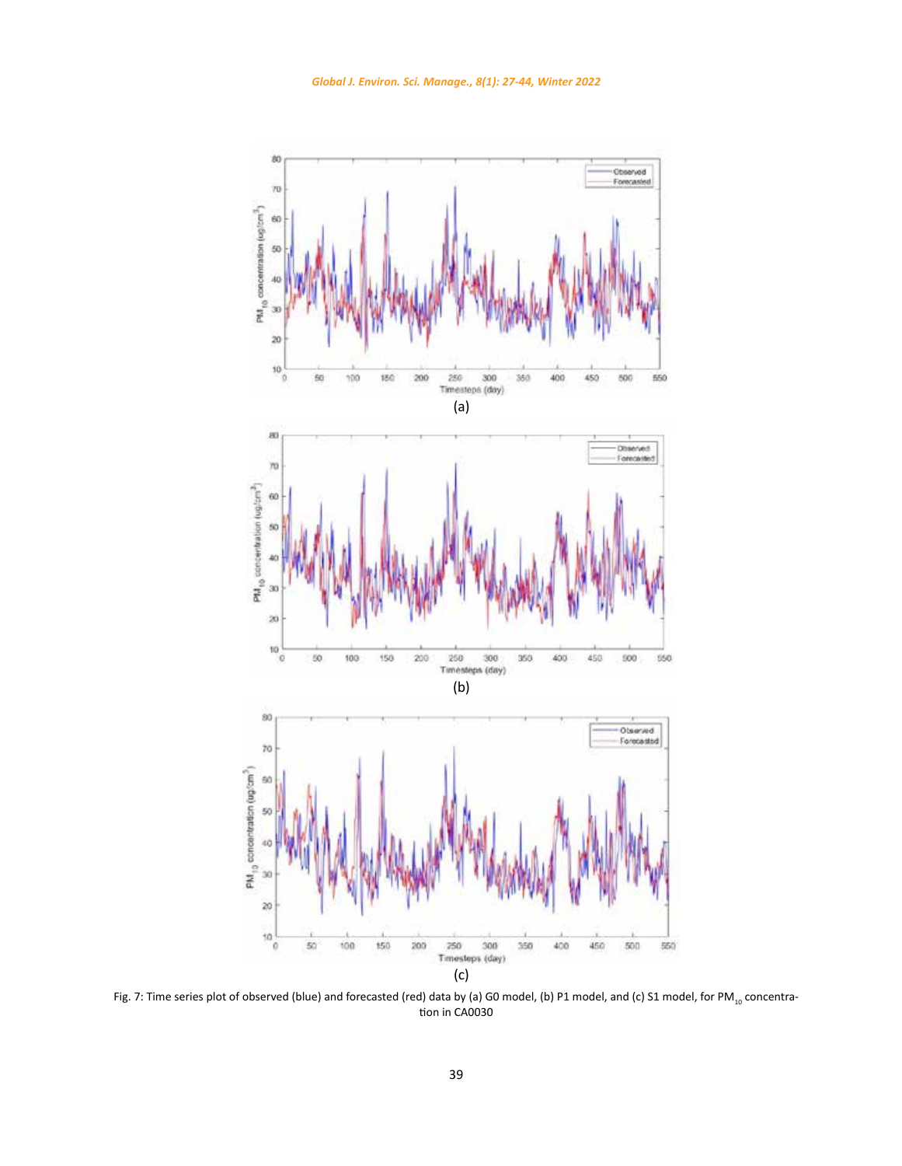<span id="page-12-0"></span>

Fig. 7: Time series plot of observed (blue) and forecasted (red) data by (a) G0 model, (b) P1 model, and (c) S1 model, for PM<sub>10</sub> concentration in CA0030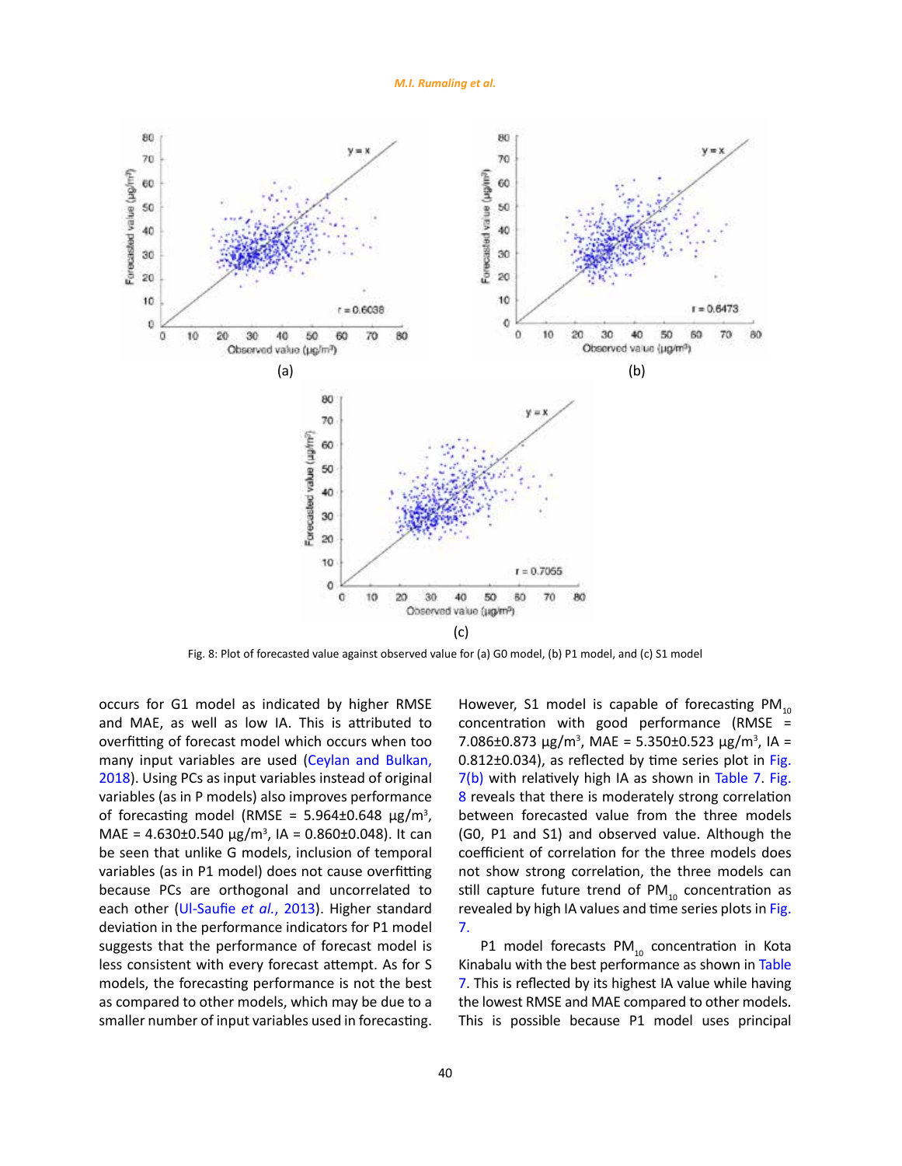*M.I. Rumaling et al.*



Fig. 8: Plot of forecasted value against observed value for (a) G0 model, (b) P1 model, and (c) S1 model

occurs for G1 model as indicated by higher RMSE and MAE, as well as low IA. This is attributed to overfitting of forecast model which occurs when too many input variables are used (Ceylan and Bulkan, [2018](#page-16-0)). Using PCs as input variables instead of original variables (as in P models) also improves performance of forecasting model (RMSE =  $5.964\pm0.648 \,\mu g/m^3$ , MAE =  $4.630 \pm 0.540 \,\mu g/m^3$ , IA =  $0.860 \pm 0.048$ ). It can be seen that unlike G models, inclusion of temporal variables (as in P1 model) does not cause overfitting because PCs are orthogonal and uncorrelated to each other ([Ul-Saufie](#page-16-0) *et al.*, 2013). Higher standard deviation in the performance indicators for P1 model suggests that the performance of forecast model is less consistent with every forecast attempt. As for S models, the forecasting performance is not the best as compared to other models, which may be due to a smaller number of input variables used in forecasting.

However, S1 model is capable of forecasting  $PM_{10}$ concentration with good performance (RMSE = 7.086±0.873 μg/m<sup>3</sup>, MAE = 5.350±0.523 μg/m<sup>3</sup>, IA = 0.812±0.034), as reflected by time series plot in [Fig.](#page-12-0) [7\(b\)](#page-12-0) with relatively high IA as shown in [Table 7](#page-11-0). Fig. 8 reveals that there is moderately strong correlation between forecasted value from the three models (G0, P1 and S1) and observed value. Although the coefficient of correlation for the three models does not show strong correlation, the three models can still capture future trend of  $PM_{10}$  concentration as revealed by high IA values and time series plots in [Fig.](#page-12-0) [7.](#page-12-0)

P1 model forecasts  $PM_{10}$  concentration in Kota Kinabalu with the best performance as shown in [Table](#page-11-0) [7](#page-11-0). This is reflected by its highest IA value while having the lowest RMSE and MAE compared to other models. This is possible because P1 model uses principal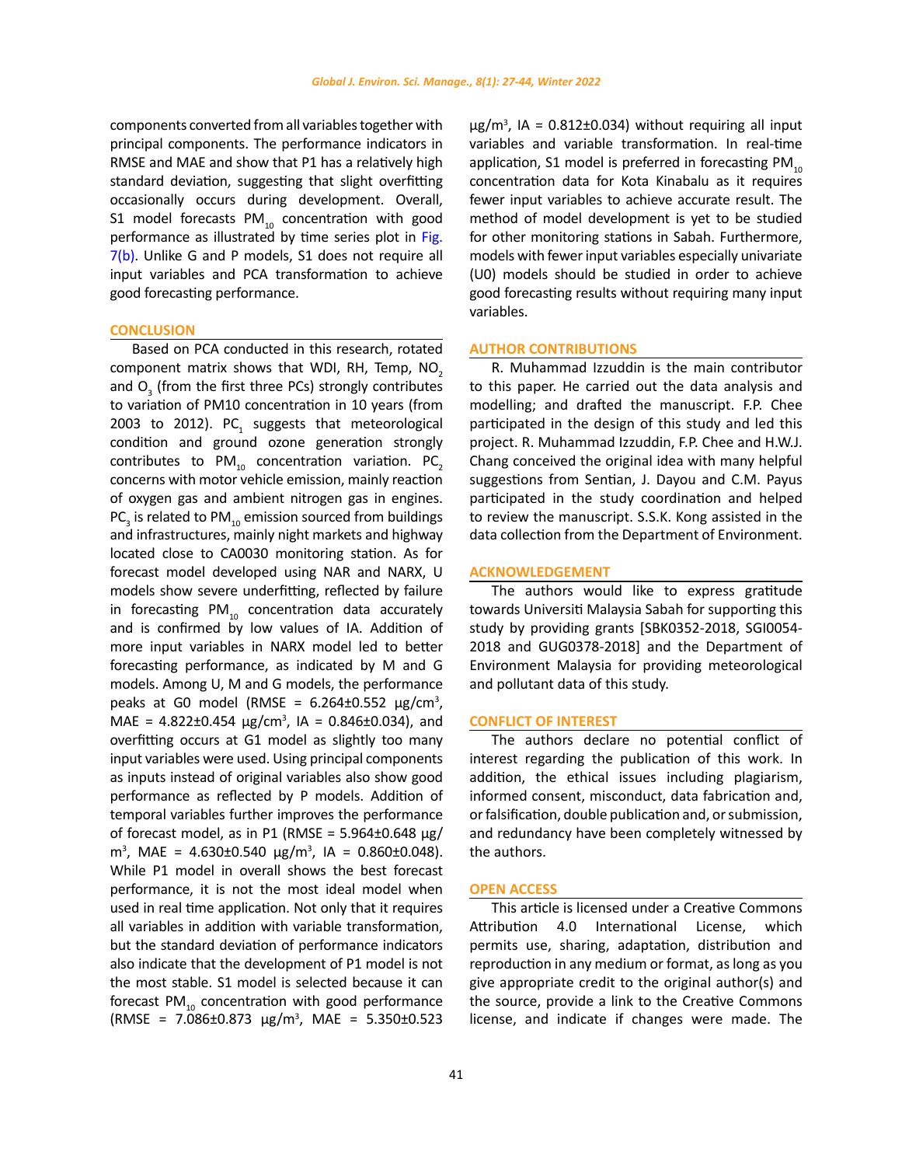components converted from all variables together with principal components. The performance indicators in RMSE and MAE and show that P1 has a relatively high standard deviation, suggesting that slight overfitting occasionally occurs during development. Overall, S1 model forecasts  $PM_{10}$  concentration with good performance as illustrated by time series plot in Fig. [7\(b\)](#page-12-0). Unlike G and P models, S1 does not require all input variables and PCA transformation to achieve good forecasting performance.

## **CONCLUSION**

Based on PCA conducted in this research, rotated component matrix shows that WDI, RH, Temp,  $NO<sub>2</sub>$ and  $O<sub>3</sub>$  (from the first three PCs) strongly contributes to variation of PM10 concentration in 10 years (from 2003 to 2012).  $PC<sub>1</sub>$  suggests that meteorological condition and ground ozone generation strongly contributes to  $PM_{10}$  concentration variation. PC<sub>2</sub> concerns with motor vehicle emission, mainly reaction of oxygen gas and ambient nitrogen gas in engines. PC<sub>3</sub> is related to PM<sub>10</sub> emission sourced from buildings and infrastructures, mainly night markets and highway located close to CA0030 monitoring station. As for forecast model developed using NAR and NARX, U models show severe underfitting, reflected by failure in forecasting  $PM_{10}$  concentration data accurately and is confirmed by low values of IA. Addition of more input variables in NARX model led to better forecasting performance, as indicated by M and G models. Among U, M and G models, the performance peaks at G0 model (RMSE =  $6.264 \pm 0.552 \mu g/cm^3$ , MAE =  $4.822 \pm 0.454 \, \mu g/cm^3$ , IA =  $0.846 \pm 0.034$ ), and overfitting occurs at G1 model as slightly too many input variables were used. Using principal components as inputs instead of original variables also show good performance as reflected by P models. Addition of temporal variables further improves the performance of forecast model, as in P1 (RMSE =  $5.964\pm0.648$  μg/  $m<sup>3</sup>$ , MAE = 4.630±0.540 μg/m<sup>3</sup>, IA = 0.860±0.048). While P1 model in overall shows the best forecast performance, it is not the most ideal model when used in real time application. Not only that it requires all variables in addition with variable transformation, but the standard deviation of performance indicators also indicate that the development of P1 model is not the most stable. S1 model is selected because it can forecast PM $_{10}$  concentration with good performance (RMSE =  $7.086 \pm 0.873 \ \mu g/m^3$ , MAE =  $5.350 \pm 0.523$ 

 $\mu$ g/m<sup>3</sup>, IA = 0.812±0.034) without requiring all input variables and variable transformation. In real-time application, S1 model is preferred in forecasting  $PM_{10}$ concentration data for Kota Kinabalu as it requires fewer input variables to achieve accurate result. The method of model development is yet to be studied for other monitoring stations in Sabah. Furthermore, models with fewer input variables especially univariate (U0) models should be studied in order to achieve good forecasting results without requiring many input variables.

### **AUTHOR CONTRIBUTIONS**

R. Muhammad Izzuddin is the main contributor to this paper. He carried out the data analysis and modelling; and drafted the manuscript. F.P. Chee participated in the design of this study and led this project. R. Muhammad Izzuddin, F.P. Chee and H.W.J. Chang conceived the original idea with many helpful suggestions from Sentian, J. Dayou and C.M. Payus participated in the study coordination and helped to review the manuscript. S.S.K. Kong assisted in the data collection from the Department of Environment.

### **ACKNOWLEDGEMENT**

The authors would like to express gratitude towards Universiti Malaysia Sabah for supporting this study by providing grants [SBK0352-2018, SGI0054- 2018 and GUG0378-2018] and the Department of Environment Malaysia for providing meteorological and pollutant data of this study.

#### **CONFLICT OF INTEREST**

The authors declare no potential conflict of interest regarding the publication of this work. In addition, the ethical issues including plagiarism, informed consent, misconduct, data fabrication and, or falsification, double publication and, or submission, and redundancy have been completely witnessed by the authors.

#### **OPEN ACCESS**

This article is licensed under a Creative Commons Attribution 4.0 International License, which permits use, sharing, adaptation, distribution and reproduction in any medium or format, as long as you give appropriate credit to the original author(s) and the source, provide a link to the Creative Commons license, and indicate if changes were made. The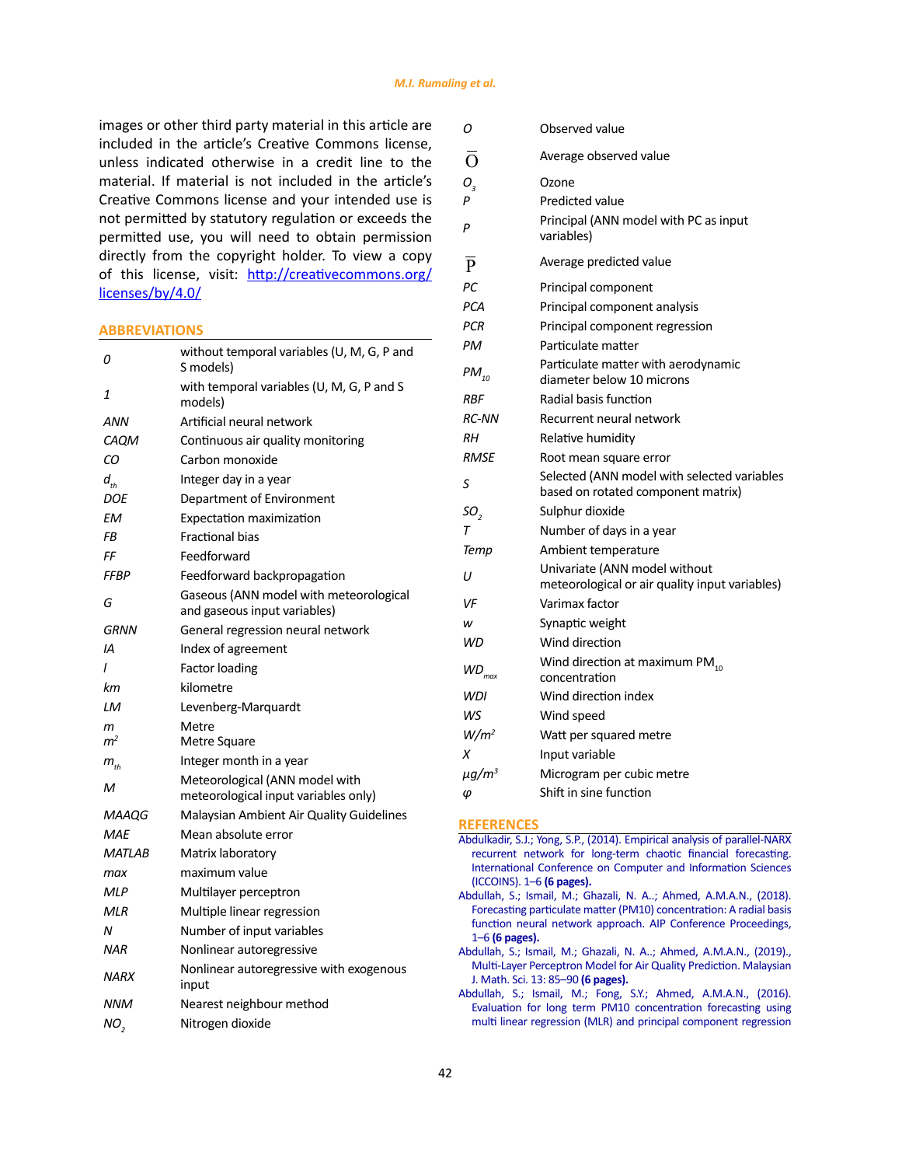images or other third party material in this article are included in the article's Creative Commons license, unless indicated otherwise in a credit line to the material. If material is not included in the article's Creative Commons license and your intended use is not permitted by statutory regulation or exceeds the permitted use, you will need to obtain permission directly from the copyright holder. To view a copy of this license, visit: [http://creativecommons.org/](http://creativecommons.org/licenses/by/4.0/) [licenses/by/4.0/](http://creativecommons.org/licenses/by/4.0/)

#### **ABBREVIATIONS**

| 0                                  | without temporal variables (U, M, G, P and<br>S models)                |
|------------------------------------|------------------------------------------------------------------------|
| 1                                  | with temporal variables (U, M, G, P and S<br>models)                   |
| ANN                                | Artificial neural network                                              |
| CAOM                               | Continuous air quality monitoring                                      |
| CО                                 | Carbon monoxide                                                        |
| $d_{\scriptscriptstyle\star\star}$ | Integer day in a year                                                  |
| DOE                                | Department of Environment                                              |
| EМ                                 | Expectation maximization                                               |
| FB                                 | <b>Fractional bias</b>                                                 |
| FF                                 | Feedforward                                                            |
| FFBP                               | Feedforward backpropagation                                            |
| G                                  | Gaseous (ANN model with meteorological<br>and gaseous input variables) |
| <b>GRNN</b>                        | General regression neural network                                      |
| IA                                 | Index of agreement                                                     |
| I                                  | <b>Factor loading</b>                                                  |
| kт                                 | kilometre                                                              |
| LМ                                 | Levenberg-Marquardt                                                    |
| m                                  | Metre                                                                  |
| m <sup>2</sup>                     | Metre Square                                                           |
| $m_{th}$                           | Integer month in a year                                                |
| м                                  | Meteorological (ANN model with<br>meteorological input variables only) |
| MAAQG                              | Malaysian Ambient Air Quality Guidelines                               |
| MAE                                | Mean absolute error                                                    |
| <b>MATLAB</b>                      | Matrix laboratory                                                      |
| тах                                | maximum value                                                          |
| <b>MLP</b>                         | Multilayer perceptron                                                  |
| MLR                                | Multiple linear regression                                             |
| N                                  | Number of input variables                                              |
| <b>NAR</b>                         | Nonlinear autoregressive                                               |
| NARX                               | Nonlinear autoregressive with exogenous<br>input                       |
| <b>NNM</b>                         | Nearest neighbour method                                               |
| NO,                                | Nitrogen dioxide                                                       |

| Ο                      | Observed value                                                                    |
|------------------------|-----------------------------------------------------------------------------------|
| $\bar{\rm o}$          | Average observed value                                                            |
| О,                     | Ozone                                                                             |
| P                      | Predicted value                                                                   |
|                        | Principal (ANN model with PC as input                                             |
| P                      | variables)                                                                        |
| $\overline{P}$         | Average predicted value                                                           |
| PC                     | Principal component                                                               |
| <b>PCA</b>             | Principal component analysis                                                      |
| <b>PCR</b>             | Principal component regression                                                    |
| PМ                     | Particulate matter                                                                |
| $PM_{10}$              | Particulate matter with aerodynamic<br>diameter below 10 microns                  |
| RBF                    | Radial basis function                                                             |
| <b>RC-NN</b>           | Recurrent neural network                                                          |
| RН                     | Relative humidity                                                                 |
| RMSE                   | Root mean square error                                                            |
| S                      | Selected (ANN model with selected variables<br>based on rotated component matrix) |
| SO <sub>2</sub>        | Sulphur dioxide                                                                   |
| Т                      | Number of days in a year                                                          |
| Temp                   | Ambient temperature                                                               |
| U                      | Univariate (ANN model without<br>meteorological or air quality input variables)   |
| VF                     | Varimax factor                                                                    |
| w                      | Synaptic weight                                                                   |
| WD                     | Wind direction                                                                    |
| $WD_{max}$             | Wind direction at maximum PM <sub>10</sub><br>concentration                       |
| WDI                    | Wind direction index                                                              |
| WS                     | Wind speed                                                                        |
| $W/m^2$                | Watt per squared metre                                                            |
| X                      | Input variable                                                                    |
| $\mu$ g/m <sup>3</sup> | Microgram per cubic metre                                                         |
| φ                      | Shift in sine function                                                            |

### **REFERENCES**

- [Abdulkadir, S.J.; Yong, S.P., \(2014\). Empirical analysis of parallel-NARX](https://ieeexplore.ieee.org/abstract/document/6868354/) [recurrent network for long-term chaotic financial forecasting.](https://ieeexplore.ieee.org/abstract/document/6868354/) [International Conference on Computer and Information Sciences](https://ieeexplore.ieee.org/abstract/document/6868354/) [\(ICCOINS\). 1–6](https://ieeexplore.ieee.org/abstract/document/6868354/) **(6 pages).**
- [Abdullah, S.; Ismail, M.; Ghazali, N. A..; Ahmed, A.M.A.N., \(2018\).](https://aip.scitation.org/doi/abs/10.1063/1.5062669) [Forecasting particulate matter \(PM10\) concentration: A radial basis](https://aip.scitation.org/doi/abs/10.1063/1.5062669) [function neural network approach. AIP Conference Proceedings,](https://aip.scitation.org/doi/abs/10.1063/1.5062669) 1–6 **[\(6 pages\).](https://aip.scitation.org/doi/abs/10.1063/1.5062669)**
- [Abdullah, S.; Ismail, M.; Ghazali, N. A..; Ahmed, A.M.A.N., \(2019\).,](https://einspem.upm.edu.my/journal/fullpaper/vol13sdecember/8.pdf) [Multi-Layer Perceptron Model for Air Quality Prediction. Malaysian](https://einspem.upm.edu.my/journal/fullpaper/vol13sdecember/8.pdf) [J. Math. Sci. 13: 85–90](https://einspem.upm.edu.my/journal/fullpaper/vol13sdecember/8.pdf) **(6 pages).**
- [Abdullah, S.; Ismail, M.; Fong, S.Y.; Ahmed, A.M.A.N., \(2016\).](https://www.thaiscience.info/Journals/Article/ENVA/10982852.pdf) [Evaluation for long term PM10 concentration forecasting using](https://www.thaiscience.info/Journals/Article/ENVA/10982852.pdf) [multi linear regression \(MLR\) and principal component regression](https://www.thaiscience.info/Journals/Article/ENVA/10982852.pdf)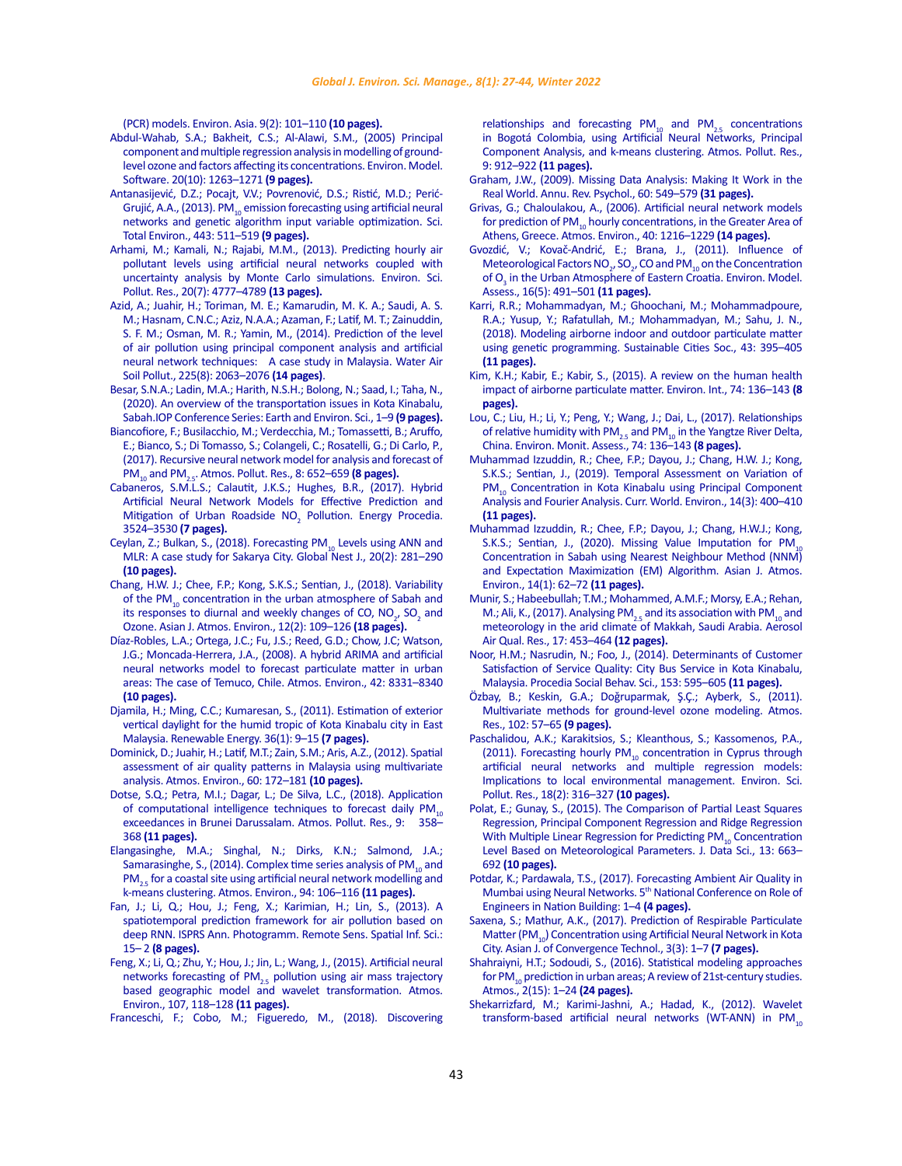<span id="page-16-0"></span>[\(PCR\) models. Environ. Asia. 9\(2\): 101–110](https://www.thaiscience.info/Journals/Article/ENVA/10982852.pdf) **(10 pages).**

- Abdul-Wahab, S.A.; Bakheit, C.S.; Al-Alawi, S.M., (2005) Principal component and multiple regression analysis in modelling of groundlevel ozone and factors affecting its concentrations. Environ. Model. Software. 20(10): 1263–1271 **(9 pages).**
- [Antanasijević, D.Z.; Pocajt, V.V.; Povrenović, D.S.; Ristić, M.D.; Perić-](https://www.sciencedirect.com/science/article/abs/pii/S0048969712014295)Grujić, A.A., (2013). PM $_{10}$  emission forecasting using artificial neural [networks and genetic algorithm input variable optimization. Sci.](https://www.sciencedirect.com/science/article/abs/pii/S0048969712014295)  [Total Environ., 443: 511–519](https://www.sciencedirect.com/science/article/abs/pii/S0048969712014295) **(9 pages).**
- Arhami, M.; Kamali, N.; Rajabi, M.M., (2013). Predicting hourly air pollutant levels using artificial neural networks coupled with uncertainty analysis by Monte Carlo simulations. Environ. Sci. Pollut. Res., 20(7): 4777–4789 **(13 pages).**
- [Azid, A.; Juahir, H.; Toriman, M. E.; Kamarudin, M. K. A.; Saudi, A. S.](https://link.springer.com/article/10.1007/s11270-014-2063-1)  [M.; Hasnam, C.N.C.; Aziz, N.A.A.; Azaman, F.; Latif, M. T.; Zainuddin,](https://link.springer.com/article/10.1007/s11270-014-2063-1)  [S. F. M.; Osman, M. R.; Yamin, M., \(2014\). Prediction of the level](https://link.springer.com/article/10.1007/s11270-014-2063-1)  [of air pollution using principal component analysis and artificial](https://link.springer.com/article/10.1007/s11270-014-2063-1)  [neural network techniques: A case study in Malaysia. Water Air](https://link.springer.com/article/10.1007/s11270-014-2063-1)  [Soil Pollut., 225\(8\): 2063–2076](https://link.springer.com/article/10.1007/s11270-014-2063-1) **(14 pages)**.
- [Besar, S.N.A.; Ladin, M.A.; Harith, N.S.H.; Bolong, N.; Saad, I.; Taha, N.,](https://iopscience.iop.org/article/10.1088/1755-1315/476/1/012066/meta)  [\(2020\). An overview of the transportation issues in Kota Kinabalu,](https://iopscience.iop.org/article/10.1088/1755-1315/476/1/012066/meta)  [Sabah.IOP Conference Series: Earth and Environ. Sci., 1–9](https://iopscience.iop.org/article/10.1088/1755-1315/476/1/012066/meta) **(9 pages).**
- [Biancofiore, F.; Busilacchio, M.; Verdecchia, M.; Tomassetti, B.; Aruffo,](https://www.sciencedirect.com/science/article/abs/pii/S1309104216304056)  [E.; Bianco, S.; Di Tomasso, S.; Colangeli, C.; Rosatelli, G.; Di Carlo, P.,](https://www.sciencedirect.com/science/article/abs/pii/S1309104216304056)  [\(2017\). Recursive neural network model for analysis and forecast of](https://www.sciencedirect.com/science/article/abs/pii/S1309104216304056)  PM10 and PM[2.5. Atmos. Pollut. Res., 8: 652–659](https://www.sciencedirect.com/science/article/abs/pii/S1309104216304056) **(8 pages).**
- [Cabaneros, S.M.L.S.; Calautit, J.K.S.; Hughes, B.R., \(2017\). Hybrid](https://www.sciencedirect.com/science/article/pii/S187661021735974X)  [Artificial Neural Network Models for Effective Prediction and](https://www.sciencedirect.com/science/article/pii/S187661021735974X)  Mitigation of Urban Roadside  $NO<sub>2</sub>$  Pollution. Energy Procedia. [3524–3530](https://www.sciencedirect.com/science/article/pii/S187661021735974X) **(7 pages).**
- [Ceylan, Z.; Bulkan, S., \(2018\). Forecasting PM](https://journal.gnest.org/sites/default/files/Submissions/gnest_02522/gnest_02522_published.pdf)<sub>10</sub> Levels using ANN and [MLR: A case study for Sakarya City. Global Nest J., 20\(2\): 281–290](https://journal.gnest.org/sites/default/files/Submissions/gnest_02522/gnest_02522_published.pdf)  **[\(10 pages\).](https://journal.gnest.org/sites/default/files/Submissions/gnest_02522/gnest_02522_published.pdf)**
- [Chang, H.W. J.; Chee, F.P.; Kong, S.K.S.; Sentian, J., \(2018\). Variability](https://www.koreascience.or.kr/article/JAKO201821142176519.page)  of the PM $_{10}$  concentration in the urban atmosphere of Sabah and its responses to diurnal and weekly changes of CO,  $NO_{2'}$ , SO<sub>2</sub> and [Ozone. Asian J. Atmos. Environ., 12\(2\): 109–126](https://www.koreascience.or.kr/article/JAKO201821142176519.page) **(18 pages).**
- [Díaz-Robles, L.A.; Ortega, J.C.; Fu, J.S.; Reed, G.D.; Chow, J.C; Watson,](https://www.sciencedirect.com/science/article/abs/pii/S1352231008006523)  [J.G.; Moncada-Herrera, J.A., \(2008\). A hybrid ARIMA and artificial](https://www.sciencedirect.com/science/article/abs/pii/S1352231008006523)  [neural networks model to forecast particulate matter in urban](https://www.sciencedirect.com/science/article/abs/pii/S1352231008006523)  [areas: The case of Temuco, Chile. Atmos. Environ., 42: 8331–8340](https://www.sciencedirect.com/science/article/abs/pii/S1352231008006523)  **[\(10 pages\).](https://www.sciencedirect.com/science/article/abs/pii/S1352231008006523)**
- [Djamila, H.; Ming, C.C.; Kumaresan, S., \(2011\). Estimation of exterior](https://www.sciencedirect.com/science/article/abs/pii/S0960148110003137)  [vertical daylight for the humid tropic of Kota Kinabalu city in East](https://www.sciencedirect.com/science/article/abs/pii/S0960148110003137)  [Malaysia. Renewable Energy. 36\(1\): 9–15](https://www.sciencedirect.com/science/article/abs/pii/S0960148110003137) **(7 pages).**
- [Dominick, D.; Juahir, H.; Latif, M.T.; Zain, S.M.; Aris, A.Z., \(2012\). Spatial](https://www.sciencedirect.com/science/article/abs/pii/S1352231012005729)  [assessment of air quality patterns in Malaysia using multivariate](https://www.sciencedirect.com/science/article/abs/pii/S1352231012005729)  [analysis. Atmos. Environ., 60: 172–181](https://www.sciencedirect.com/science/article/abs/pii/S1352231012005729) **(10 pages).**
- [Dotse, S.Q.; Petra, M.I.; Dagar, L.; De Silva, L.C., \(2018\). Application](https://www.sciencedirect.com/science/article/abs/pii/S1309104217304178)  of computational intelligence techniques to forecast daily  $PM_{10}$ [exceedances in Brunei Darussalam. Atmos. Pollut. Res., 9: 358–](https://www.sciencedirect.com/science/article/abs/pii/S1309104217304178) 368 **[\(11 pages\).](https://www.sciencedirect.com/science/article/abs/pii/S1309104217304178)**
- [Elangasinghe, M.A.; Singhal, N.; Dirks, K.N.; Salmond, J.A.;](https://www.sciencedirect.com/science/article/abs/pii/S1352231014003239)  [Samarasinghe, S., \(2014\). Complex time series analysis of PM](https://www.sciencedirect.com/science/article/abs/pii/S1352231014003239)<sub>10</sub> and  $PM_{25}$  for a coastal site using artificial neural network modelling and [k-means clustering. Atmos. Environ., 94: 106–116](https://www.sciencedirect.com/science/article/abs/pii/S1352231014003239) **(11 pages).**
- [Fan, J.; Li, Q.; Hou, J.; Feng, X.; Karimian, H.; Lin, S., \(2013\). A](https://pdfs.semanticscholar.org/06ba/40867d0afef04de404ceefbcf990dec80109.pdf)  [spatiotemporal prediction framework for air pollution based on](https://pdfs.semanticscholar.org/06ba/40867d0afef04de404ceefbcf990dec80109.pdf)  [deep RNN. ISPRS Ann. Photogramm. Remote Sens. Spatial Inf. Sci.:](https://pdfs.semanticscholar.org/06ba/40867d0afef04de404ceefbcf990dec80109.pdf)  15– 2 **[\(8 pages\).](https://pdfs.semanticscholar.org/06ba/40867d0afef04de404ceefbcf990dec80109.pdf)**
- [Feng, X.; Li, Q.; Zhu, Y.; Hou, J.; Jin, L.; Wang, J., \(2015\). Artificial neural](https://www.sciencedirect.com/science/article/pii/S1352231015001491)  networks forecasting of  $PM_{2.5}$  pollution using air mass trajectory [based geographic model and wavelet transformation. Atmos.](https://www.sciencedirect.com/science/article/pii/S1352231015001491)  [Environ., 107, 118–128](https://www.sciencedirect.com/science/article/pii/S1352231015001491) **(11 pages).**
- [Franceschi, F.; Cobo, M.; Figueredo, M., \(2018\). Discovering](https://www.sciencedirect.com/science/article/abs/pii/S1309104217305494)

relationships and forecasting  $PM_{10}$  and  $PM_{25}$  concentrations [in Bogotá Colombia, using Artificial Neural Networks, Principal](https://www.sciencedirect.com/science/article/abs/pii/S1309104217305494) [Component Analysis, and k-means clustering. Atmos. Pollut. Res.,](https://www.sciencedirect.com/science/article/abs/pii/S1309104217305494) [9: 912–922](https://www.sciencedirect.com/science/article/abs/pii/S1309104217305494) **(11 pages).**

- [Graham, J.W., \(2009\). Missing Data Analysis: Making It Work in the](https://www.annualreviews.org/doi/abs/10.1146/annurev.psych.58.110405.085530) [Real World. Annu. Rev. Psychol., 60: 549–579](https://www.annualreviews.org/doi/abs/10.1146/annurev.psych.58.110405.085530) **(31 pages).**
- [Grivas, G.; Chaloulakou, A., \(2006\). Artificial neural network models](https://www.sciencedirect.com/science/article/abs/pii/S1352231005010137) for prediction of PM<sub>10</sub> [hourly concentrations, in the Greater Area of](https://www.sciencedirect.com/science/article/abs/pii/S1352231005010137) [Athens, Greece. Atmos. Environ., 40: 1216–1229](https://www.sciencedirect.com/science/article/abs/pii/S1352231005010137) **(14 pages).**
- [Gvozdić, V.; Kovač-Andrić, E.; Brana, J., \(2011\). Influence of](https://link.springer.com/article/10.1007/s10666-011-9256-4) Meteorological Factors  $NO_2$ ,  $SO_2$ , CO and PM<sub>10</sub> on the Concentration of  $O_3$  [in the Urban Atmosphere of Eastern Croatia. Environ. Model.](https://link.springer.com/article/10.1007/s10666-011-9256-4) [Assess., 16\(5\): 491–501](https://link.springer.com/article/10.1007/s10666-011-9256-4) **(11 pages).**
- [Karri, R.R.; Mohammadyan, M.; Ghoochani, M.; Mohammadpoure,](https://www.sciencedirect.com/science/article/abs/pii/S2210670718301331) [R.A.; Yusup, Y.; Rafatullah, M.; Mohammadyan, M.; Sahu, J. N.,](https://www.sciencedirect.com/science/article/abs/pii/S2210670718301331) [\(2018\). Modeling airborne indoor and outdoor particulate matter](https://www.sciencedirect.com/science/article/abs/pii/S2210670718301331) [using genetic programming. Sustainable Cities Soc., 43: 395–405](https://www.sciencedirect.com/science/article/abs/pii/S2210670718301331) **[\(11 pages\).](https://www.sciencedirect.com/science/article/abs/pii/S2210670718301331)**
- [Kim, K.H.; Kabir, E.; Kabir, S., \(2015\). A review on the human health](https://www.sciencedirect.com/science/article/pii/S0160412014002992) [impact of airborne particulate matter. Environ. Int., 74: 136–143](https://www.sciencedirect.com/science/article/pii/S0160412014002992) **(8 [pages\).](https://www.sciencedirect.com/science/article/pii/S0160412014002992)**
- [Lou, C.; Liu, H.; Li, Y.; Peng, Y.; Wang, J.; Dai, L., \(2017\). Relationships](https://www.sciencedirect.com/science/article/pii/S0160412014002992) of relative humidity with PM<sub>2.5</sub> and PM<sub>10</sub> in the Yangtze River Delta, [China. Environ. Monit. Assess., 74: 136–143](https://www.sciencedirect.com/science/article/pii/S0160412014002992) **(8 pages).**
- [Muhammad Izzuddin, R.; Chee, F.P.; Dayou, J.; Chang, H.W. J.; Kong,](https://www.proquest.com/openview/8bb3186e495ef3b2b7d5d74507f7d2fe/1?pq-origsite=gscholar&cbl=2035006) [S.K.S.; Sentian, J., \(2019\). Temporal Assessment on Variation of](https://www.proquest.com/openview/8bb3186e495ef3b2b7d5d74507f7d2fe/1?pq-origsite=gscholar&cbl=2035006) PM<sub>10</sub> [Concentration in Kota Kinabalu using Principal Component](https://www.proquest.com/openview/8bb3186e495ef3b2b7d5d74507f7d2fe/1?pq-origsite=gscholar&cbl=2035006) [Analysis and Fourier Analysis. Curr. World. Environ., 14\(3\): 400–410](https://www.proquest.com/openview/8bb3186e495ef3b2b7d5d74507f7d2fe/1?pq-origsite=gscholar&cbl=2035006) **[\(11 pages\).](https://www.proquest.com/openview/8bb3186e495ef3b2b7d5d74507f7d2fe/1?pq-origsite=gscholar&cbl=2035006)**
- [Muhammad Izzuddin, R.; Chee, F.P.; Dayou, J.; Chang, H.W.J.; Kong,](http://asianjae.org/xml/23538/23538.pdf) [S.K.S.; Sentian, J., \(2020\). Missing Value Imputation for PM](http://asianjae.org/xml/23538/23538.pdf) [Concentration in Sabah using Nearest Neighbour Method \(NNM\)](http://asianjae.org/xml/23538/23538.pdf) [and Expectation Maximization \(EM\) Algorithm. Asian J. Atmos.](http://asianjae.org/xml/23538/23538.pdf) [Environ., 14\(1\): 62–72](http://asianjae.org/xml/23538/23538.pdf) **(11 pages).**
- [Munir, S.; Habeebullah; T.M.; Mohammed, A.M.F.; Morsy, E.A.; Rehan,](https://aaqr.org/articles/aaqr-16-03-2015aac-0117) M.; Ali, K., (2017). Analysing PM<sub>25</sub> and its association with PM<sub>10</sub> and [meteorology in the arid climate of Makkah, Saudi Arabia. Aerosol](https://aaqr.org/articles/aaqr-16-03-2015aac-0117) [Air Qual. Res., 17: 453–464](https://aaqr.org/articles/aaqr-16-03-2015aac-0117) **(12 pages).**
- [Noor, H.M.; Nasrudin, N.; Foo, J., \(2014\). Determinants of Customer](https://www.sciencedirect.com/science/article/pii/S1877042814055347) [Satisfaction of Service Quality: City Bus Service in Kota Kinabalu,](https://www.sciencedirect.com/science/article/pii/S1877042814055347) [Malaysia. Procedia Social Behav. Sci., 153: 595–605](https://www.sciencedirect.com/science/article/pii/S1877042814055347) **(11 pages).**
- [Özbay, B.; Keskin, G.A.; Doǧruparmak, Ş.Ç.; Ayberk, S., \(2011\).](https://www.sciencedirect.com/science/article/pii/S0169809511001839) [Multivariate methods for ground-level ozone modeling. Atmos.](https://www.sciencedirect.com/science/article/pii/S0169809511001839) [Res., 102: 57–65](https://www.sciencedirect.com/science/article/pii/S0169809511001839) **(9 pages).**
- [Paschalidou, A.K.; Karakitsios, S.; Kleanthous, S.; Kassomenos, P.A.,](https://link.springer.com/article/10.1007/s11356-010-0375-2) (2011). Forecasting hourly PM<sub>10</sub> [concentration in Cyprus through](https://link.springer.com/article/10.1007/s11356-010-0375-2) [artificial neural networks and multiple regression models:](https://link.springer.com/article/10.1007/s11356-010-0375-2) [Implications to local environmental management. Environ. Sci.](https://link.springer.com/article/10.1007/s11356-010-0375-2) [Pollut. Res., 18\(2\): 316–327](https://link.springer.com/article/10.1007/s11356-010-0375-2) **(10 pages).**
- [Polat, E.; Gunay, S., \(2015\). The Comparison of Partial Least Squares](https://www.airitilibrary.com/Publication/alDetailedMesh?DocID=16838602-201510-201510220031-201510220031-663-692) [Regression, Principal Component Regression and Ridge Regression](https://www.airitilibrary.com/Publication/alDetailedMesh?DocID=16838602-201510-201510220031-201510220031-663-692) [With Multiple Linear Regression for Predicting PM](https://www.airitilibrary.com/Publication/alDetailedMesh?DocID=16838602-201510-201510220031-201510220031-663-692)<sub>10</sub> Concentration Level Based on Meteorological Parameters. J. Data Sci., 13: 663-692 **[\(10 pages\).](https://www.airitilibrary.com/Publication/alDetailedMesh?DocID=16838602-201510-201510220031-201510220031-663-692)**
- [Potdar, K.; Pardawala, T.S., \(2017\). Forecasting Ambient Air Quality in](https://www.researchgate.net/profile/Kedar-Potdar-2/publication/314234977_Forecasting_Ambient_Air_Quality_in_Mumbai_using_Neural_Networks/links/58bc284692851c471d563632/Forecasting-Ambient-Air-Quality-in-Mumbai-using-Neural-Networks.pdf) [Mumbai using Neural Networks. 5](https://www.researchgate.net/profile/Kedar-Potdar-2/publication/314234977_Forecasting_Ambient_Air_Quality_in_Mumbai_using_Neural_Networks/links/58bc284692851c471d563632/Forecasting-Ambient-Air-Quality-in-Mumbai-using-Neural-Networks.pdf)<sup>th</sup> National Conference on Role of [Engineers in Nation Building: 1–4](https://www.researchgate.net/profile/Kedar-Potdar-2/publication/314234977_Forecasting_Ambient_Air_Quality_in_Mumbai_using_Neural_Networks/links/58bc284692851c471d563632/Forecasting-Ambient-Air-Quality-in-Mumbai-using-Neural-Networks.pdf) **(4 pages).**
- [Saxena, S.; Mathur, A.K., \(2017\). Prediction of Respirable Particulate](http://asianssr.org/index.php/ajct/article/view/301) Matter (PM<sub>10</sub>[\) Concentration using Artificial Neural Network in Kota](http://asianssr.org/index.php/ajct/article/view/301) [City. Asian J. of Convergence Technol., 3\(3\): 1–7](http://asianssr.org/index.php/ajct/article/view/301) **(7 pages).**
- [Shahraiyni, H.T.; Sodoudi, S., \(2016\). Statistical modeling approaches](https://www.mdpi.com/2073-4433/7/2/15) for PM<sub>10</sub> [prediction in urban areas; A review of 21st-century studies.](https://www.mdpi.com/2073-4433/7/2/15) [Atmos., 2\(15\): 1–24](https://www.mdpi.com/2073-4433/7/2/15) **(24 pages).**
- [Shekarrizfard, M.; Karimi-Jashni, A.; Hadad, K., \(2012\). Wavelet](https://link.springer.com/article/10.1007/s11356-011-0554-9) transform-based artificial neural networks (WT-ANN) in  $PM_{10}$